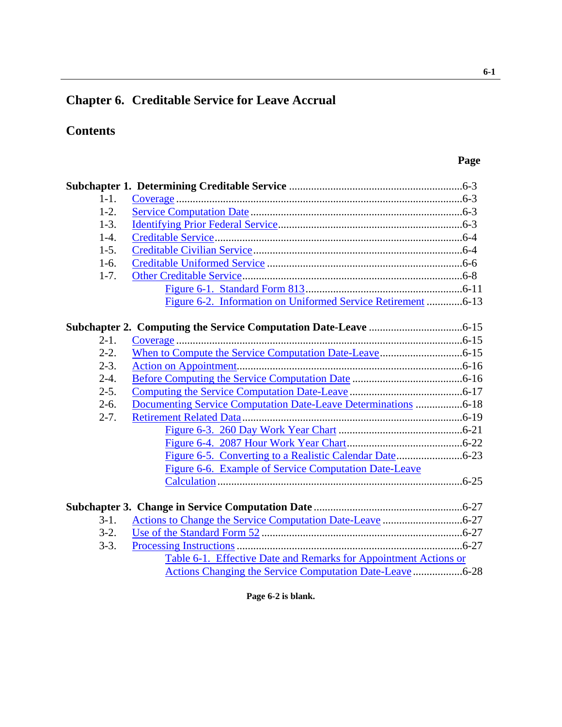# **Chapter 6. Creditable Service for Leave Accrual**

# **Contents**

| $1 - 1$ . |                                                                        |  |
|-----------|------------------------------------------------------------------------|--|
| $1-2.$    |                                                                        |  |
| $1-3.$    |                                                                        |  |
| $1-4.$    |                                                                        |  |
| $1-5.$    |                                                                        |  |
| $1-6.$    |                                                                        |  |
| $1-7.$    |                                                                        |  |
|           |                                                                        |  |
|           | Figure 6-2. Information on Uniformed Service Retirement 6-13           |  |
|           |                                                                        |  |
| $2-1.$    |                                                                        |  |
| $2-2.$    |                                                                        |  |
| $2-3.$    |                                                                        |  |
| $2-4.$    |                                                                        |  |
| $2-5.$    |                                                                        |  |
| $2-6.$    | <b>Documenting Service Computation Date-Leave Determinations </b> 6-18 |  |
| $2 - 7.$  |                                                                        |  |
|           |                                                                        |  |
|           |                                                                        |  |
|           |                                                                        |  |
|           | Figure 6-6. Example of Service Computation Date-Leave                  |  |
|           |                                                                        |  |
|           |                                                                        |  |
| $3-1.$    |                                                                        |  |
| $3-2.$    |                                                                        |  |
| $3-3.$    |                                                                        |  |
|           | Table 6-1. Effective Date and Remarks for Appointment Actions or       |  |
|           |                                                                        |  |

**Page 6-2 is blank.**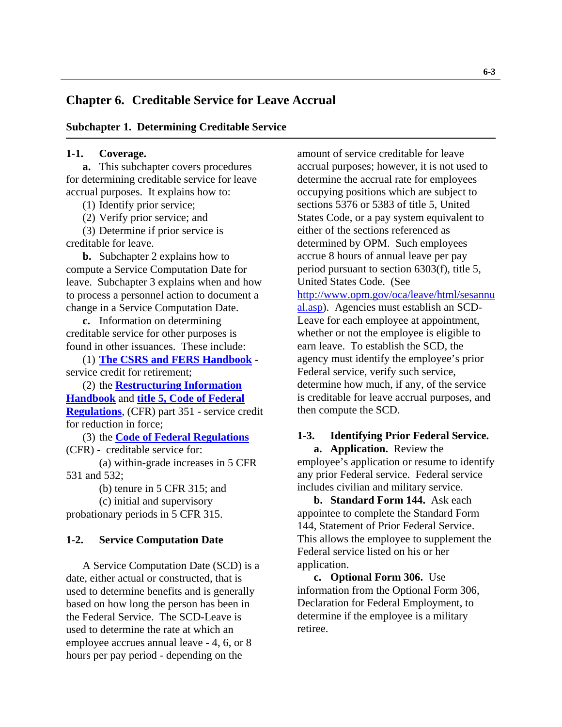## <span id="page-1-0"></span>**Chapter 6. Creditable Service for Leave Accrual**

#### **Subchapter 1. Determining Creditable Service**

#### **1-1. Coverage.**

**a.** This subchapter covers procedures for determining creditable service for leave accrual purposes. It explains how to:

(1) Identify prior service;

(2) Verify prior service; and

(3) Determine if prior service is creditable for leave.

**b.** Subchapter 2 explains how to compute a Service Computation Date for leave. Subchapter 3 explains when and how to process a personnel action to document a change in a Service Computation Date.

**c.** Information on determining creditable service for other purposes is found in other issuances. These include:

(1) **[The CSRS and FERS Handbook](http://www.opm.gov/retire/pubs/handbook/hod.htm)** service credit for retirement;

(2) the **[Restructuring Information](http://www.opm.gov/employ/html/restruct.htm)  [Handbook](http://www.opm.gov/employ/html/restruct.htm)** and **[title 5, Code of Federal](http://www.gpoaccess.gov/cfr/index.html)  [Regulations](http://www.gpoaccess.gov/cfr/index.html)**, (CFR) part 351 - service credit for reduction in force;

(3) the **[Code of Federal Regulations](http://www.gpoaccess.gov/cfr/index.html)** (CFR) - creditable service for:

(a) within-grade increases in 5 CFR 531 and 532;

(b) tenure in 5 CFR 315; and

(c) initial and supervisory probationary periods in 5 CFR 315.

#### **1-2. Service Computation Date**

A Service Computation Date (SCD) is a date, either actual or constructed, that is used to determine benefits and is generally based on how long the person has been in the Federal Service. The SCD-Leave is used to determine the rate at which an employee accrues annual leave - 4, 6, or 8 hours per pay period - depending on the

amount of service creditable for leave accrual purposes; however, it is not used to determine the accrual rate for employees occupying positions which are subject to sections 5376 or 5383 of title 5, United States Code, or a pay system equivalent to either of the sections referenced as determined by OPM. Such employees accrue 8 hours of annual leave per pay period pursuant to section 6303(f), title 5, United States Code. (See [http://www.opm.gov/oca/leave/html/sesannu](http://www.opm.gov/oca/leave/html/sesannual.asp) [al.asp\)](http://www.opm.gov/oca/leave/html/sesannual.asp). Agencies must establish an SCD-Leave for each employee at appointment, whether or not the employee is eligible to earn leave. To establish the SCD, the agency must identify the employee's prior Federal service, verify such service, determine how much, if any, of the service is creditable for leave accrual purposes, and then compute the SCD.

### **1-3. Identifying Prior Federal Service.**

**a. Application.** Review the employee's application or resume to identify any prior Federal service. Federal service includes civilian and military service.

**b. Standard Form 144.** Ask each appointee to complete the Standard Form 144, Statement of Prior Federal Service. This allows the employee to supplement the Federal service listed on his or her application.

**c. Optional Form 306.** Use information from the Optional Form 306, Declaration for Federal Employment, to determine if the employee is a military retiree.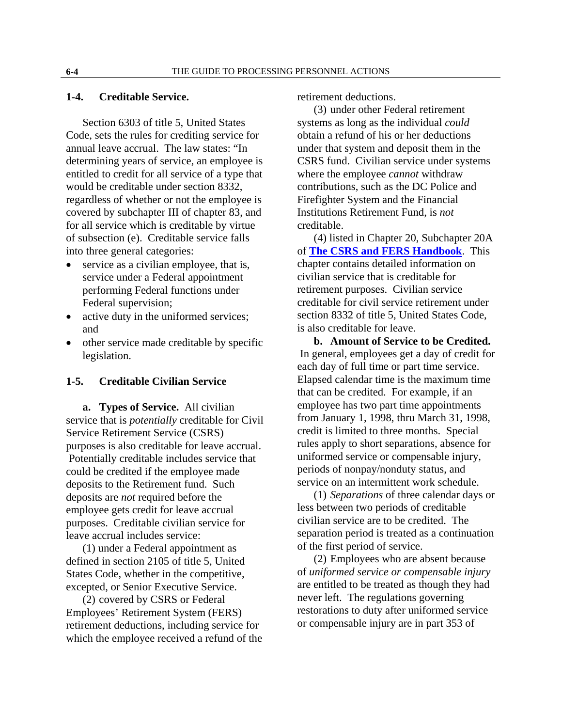#### <span id="page-2-0"></span>**1-4. Creditable Service.**

Section 6303 of title 5, United States Code, sets the rules for crediting service for annual leave accrual. The law states: "In determining years of service, an employee is entitled to credit for all service of a type that would be creditable under section 8332, regardless of whether or not the employee is covered by subchapter III of chapter 83, and for all service which is creditable by virtue of subsection (e). Creditable service falls into three general categories:

- service as a civilian employee, that is, service under a Federal appointment performing Federal functions under Federal supervision;
- active duty in the uniformed services; and
- other service made creditable by specific legislation.

#### **1-5. Creditable Civilian Service**

**a. Types of Service.** All civilian service that is *potentially* creditable for Civil Service Retirement Service (CSRS) purposes is also creditable for leave accrual. Potentially creditable includes service that could be credited if the employee made deposits to the Retirement fund. Such deposits are *not* required before the employee gets credit for leave accrual purposes. Creditable civilian service for leave accrual includes service:

(1) under a Federal appointment as defined in section 2105 of title 5, United States Code, whether in the competitive, excepted, or Senior Executive Service.

(2) covered by CSRS or Federal Employees' Retirement System (FERS) retirement deductions, including service for which the employee received a refund of the retirement deductions.

(3) under other Federal retirement systems as long as the individual *could* obtain a refund of his or her deductions under that system and deposit them in the CSRS fund. Civilian service under systems where the employee *cannot* withdraw contributions, such as the DC Police and Firefighter System and the Financial Institutions Retirement Fund, is *not* creditable.

(4) listed in Chapter 20, Subchapter 20A of **[The CSRS and FERS Handbook](http://www.opm.gov/retire/pubs/handbook/hod.htm)**. This chapter contains detailed information on civilian service that is creditable for retirement purposes. Civilian service creditable for civil service retirement under section 8332 of title 5, United States Code, is also creditable for leave.

**b. Amount of Service to be Credited.** In general, employees get a day of credit for each day of full time or part time service. Elapsed calendar time is the maximum time that can be credited. For example, if an employee has two part time appointments from January 1, 1998, thru March 31, 1998, credit is limited to three months. Special rules apply to short separations, absence for uniformed service or compensable injury, periods of nonpay/nonduty status, and service on an intermittent work schedule.

(1) *Separations* of three calendar days or less between two periods of creditable civilian service are to be credited. The separation period is treated as a continuation of the first period of service.

(2) Employees who are absent because of *uniformed service or compensable injury* are entitled to be treated as though they had never left. The regulations governing restorations to duty after uniformed service or compensable injury are in part 353 of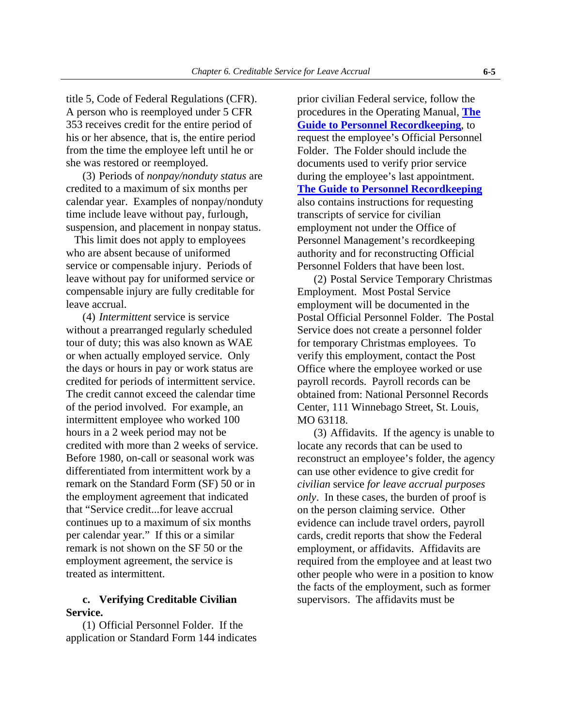title 5, Code of Federal Regulations (CFR). A person who is reemployed under 5 CFR 353 receives credit for the entire period of his or her absence, that is, the entire period from the time the employee left until he or she was restored or reemployed.

 (3) Periods of *nonpay/nonduty status* are credited to a maximum of six months per calendar year. Examples of nonpay/nonduty time include leave without pay, furlough, suspension, and placement in nonpay status.

 This limit does not apply to employees who are absent because of uniformed service or compensable injury. Periods of leave without pay for uniformed service or compensable injury are fully creditable for leave accrual.

(4) *Intermittent* service is service without a prearranged regularly scheduled tour of duty; this was also known as WAE or when actually employed service. Only the days or hours in pay or work status are credited for periods of intermittent service. The credit cannot exceed the calendar time of the period involved. For example, an intermittent employee who worked 100 hours in a 2 week period may not be credited with more than 2 weeks of service. Before 1980, on-call or seasonal work was differentiated from intermittent work by a remark on the Standard Form (SF) 50 or in the employment agreement that indicated that "Service credit...for leave accrual continues up to a maximum of six months per calendar year." If this or a similar remark is not shown on the SF 50 or the employment agreement, the service is treated as intermittent.

### **c. Verifying Creditable Civilian Service.**

(1) Official Personnel Folder. If the application or Standard Form 144 indicates

prior civilian Federal service, follow the procedures in the Operating Manual, **[The](http://www.opm.gov/feddata/persdoc.asp)  [Guide to Personnel Recordkeeping](http://www.opm.gov/feddata/persdoc.asp)**, to request the employee's Official Personnel Folder. The Folder should include the documents used to verify prior service during the employee's last appointment. **[The Guide to Personnel Recordkeeping](http://www.opm.gov/feddata/persdoc.asp)** also contains instructions for requesting transcripts of service for civilian employment not under the Office of Personnel Management's recordkeeping authority and for reconstructing Official Personnel Folders that have been lost.

(2) Postal Service Temporary Christmas Employment. Most Postal Service employment will be documented in the Postal Official Personnel Folder. The Postal Service does not create a personnel folder for temporary Christmas employees. To verify this employment, contact the Post Office where the employee worked or use payroll records. Payroll records can be obtained from: National Personnel Records Center, 111 Winnebago Street, St. Louis, MO 63118.

(3) Affidavits. If the agency is unable to locate any records that can be used to reconstruct an employee's folder, the agency can use other evidence to give credit for *civilian* service *for leave accrual purposes only*. In these cases, the burden of proof is on the person claiming service. Other evidence can include travel orders, payroll cards, credit reports that show the Federal employment, or affidavits. Affidavits are required from the employee and at least two other people who were in a position to know the facts of the employment, such as former supervisors. The affidavits must be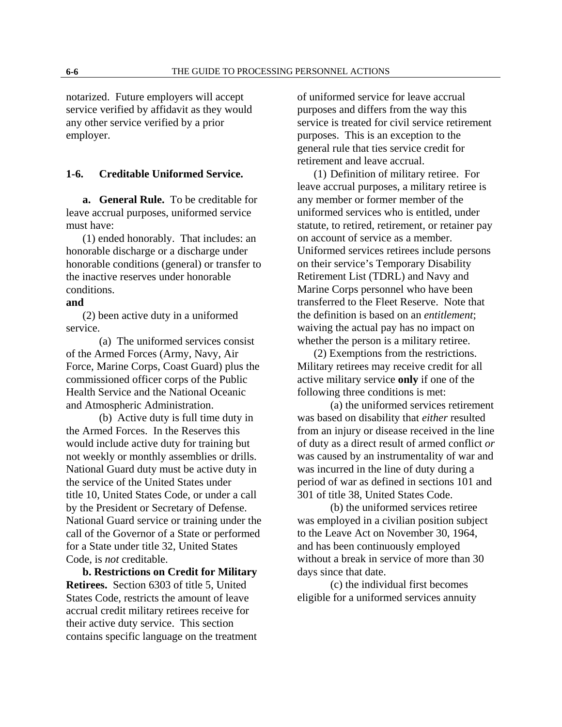<span id="page-4-0"></span>notarized. Future employers will accept service verified by affidavit as they would any other service verified by a prior employer.

#### **1-6. Creditable Uniformed Service.**

**a. General Rule.** To be creditable for leave accrual purposes, uniformed service must have:

(1) ended honorably. That includes: an honorable discharge or a discharge under honorable conditions (general) or transfer to the inactive reserves under honorable conditions.

#### **and**

(2) been active duty in a uniformed service.

(a) The uniformed services consist of the Armed Forces (Army, Navy, Air Force, Marine Corps, Coast Guard) plus the commissioned officer corps of the Public Health Service and the National Oceanic and Atmospheric Administration.

(b) Active duty is full time duty in the Armed Forces. In the Reserves this would include active duty for training but not weekly or monthly assemblies or drills. National Guard duty must be active duty in the service of the United States under title 10, United States Code, or under a call by the President or Secretary of Defense. National Guard service or training under the call of the Governor of a State or performed for a State under title 32, United States Code, is *not* creditable.

**b. Restrictions on Credit for Military Retirees.** Section 6303 of title 5, United States Code, restricts the amount of leave accrual credit military retirees receive for their active duty service. This section contains specific language on the treatment of uniformed service for leave accrual purposes and differs from the way this service is treated for civil service retirement purposes. This is an exception to the general rule that ties service credit for retirement and leave accrual.

(1) Definition of military retiree. For leave accrual purposes, a military retiree is any member or former member of the uniformed services who is entitled, under statute, to retired, retirement, or retainer pay on account of service as a member. Uniformed services retirees include persons on their service's Temporary Disability Retirement List (TDRL) and Navy and Marine Corps personnel who have been transferred to the Fleet Reserve. Note that the definition is based on an *entitlement*; waiving the actual pay has no impact on whether the person is a military retiree.

(2) Exemptions from the restrictions. Military retirees may receive credit for all active military service **only** if one of the following three conditions is met:

(a) the uniformed services retirement was based on disability that *either* resulted from an injury or disease received in the line of duty as a direct result of armed conflict *or* was caused by an instrumentality of war and was incurred in the line of duty during a period of war as defined in sections 101 and 301 of title 38, United States Code.

(b) the uniformed services retiree was employed in a civilian position subject to the Leave Act on November 30, 1964, and has been continuously employed without a break in service of more than 30 days since that date.

(c) the individual first becomes eligible for a uniformed services annuity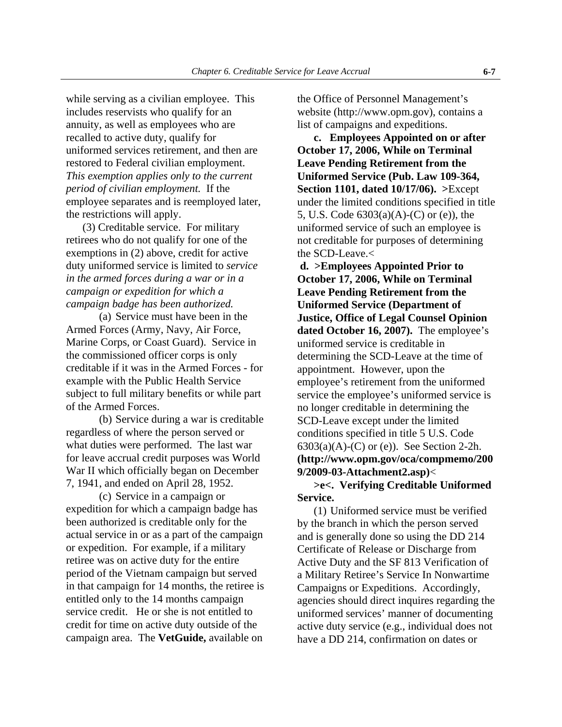while serving as a civilian employee. This includes reservists who qualify for an annuity, as well as employees who are recalled to active duty, qualify for uniformed services retirement, and then are restored to Federal civilian employment. *This exemption applies only to the current period of civilian employment.* If the employee separates and is reemployed later, the restrictions will apply.

(3) Creditable service. For military retirees who do not qualify for one of the exemptions in (2) above, credit for active duty uniformed service is limited to *service in the armed forces during a war or in a campaign or expedition for which a campaign badge has been authorized.*

(a) Service must have been in the Armed Forces (Army, Navy, Air Force, Marine Corps, or Coast Guard). Service in the commissioned officer corps is only creditable if it was in the Armed Forces - for example with the Public Health Service subject to full military benefits or while part of the Armed Forces.

(b) Service during a war is creditable regardless of where the person served or what duties were performed. The last war for leave accrual credit purposes was World War II which officially began on December 7, 1941, and ended on April 28, 1952.

(c) Service in a campaign or expedition for which a campaign badge has been authorized is creditable only for the actual service in or as a part of the campaign or expedition. For example, if a military retiree was on active duty for the entire period of the Vietnam campaign but served in that campaign for 14 months, the retiree is entitled only to the 14 months campaign service credit. He or she is not entitled to credit for time on active duty outside of the campaign area. The **VetGuide,** available on

the Office of Personnel Management's website (http://www.opm.gov), contains a list of campaigns and expeditions.

 **c. Employees Appointed on or after October 17, 2006, While on Terminal Leave Pending Retirement from the Uniformed Service (Pub. Law 109-364, Section 1101, dated 10/17/06). >**Except under the limited conditions specified in title 5, U.S. Code 6303(a)(A)-(C) or (e)), the uniformed service of such an employee is not creditable for purposes of determining the SCD-Leave.<

**d. >Employees Appointed Prior to October 17, 2006, While on Terminal Leave Pending Retirement from the Uniformed Service (Department of Justice, Office of Legal Counsel Opinion dated October 16, 2007).** The employee's uniformed service is creditable in determining the SCD-Leave at the time of appointment. However, upon the employee's retirement from the uniformed service the employee's uniformed service is no longer creditable in determining the SCD-Leave except under the limited conditions specified in title 5 U.S. Code  $6303(a)(A)-(C)$  or (e)). See Section 2-2h. **(http://www.opm.gov/oca/compmemo/200 9/2009-03-Attachment2.asp)**<

### **>e<. Verifying Creditable Uniformed Service.**

(1) Uniformed service must be verified by the branch in which the person served and is generally done so using the DD 214 Certificate of Release or Discharge from Active Duty and the SF 813 Verification of a Military Retiree's Service In Nonwartime Campaigns or Expeditions. Accordingly, agencies should direct inquires regarding the uniformed services' manner of documenting active duty service (e.g., individual does not have a DD 214, confirmation on dates or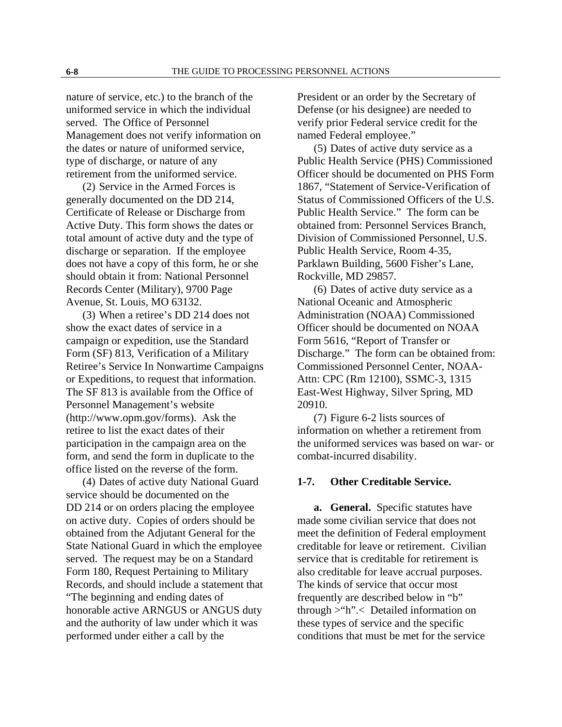<span id="page-6-0"></span>nature of service, etc.) to the branch of the uniformed service in which the individual served. The Office of Personnel Management does not verify information on the dates or nature of uniformed service, type of discharge, or nature of any retirement from the uniformed service.

(2) Service in the Armed Forces is generally documented on the DD 214, Certificate of Release or Discharge from Active Duty. This form shows the dates or total amount of active duty and the type of discharge or separation. If the employee does not have a copy of this form, he or she should obtain it from: National Personnel Records Center (Military), 9700 Page Avenue, St. Louis, MO 63132.

(3) When a retiree's DD 214 does not show the exact dates of service in a campaign or expedition, use the Standard Form (SF) 813, Verification of a Military Retiree's Service In Nonwartime Campaigns or Expeditions, to request that information. The SF 813 is available from the Office of Personnel Management's website (http://www.opm.gov/forms). Ask the retiree to list the exact dates of their participation in the campaign area on the form, and send the form in duplicate to the office listed on the reverse of the form.

(4) Dates of active duty National Guard service should be documented on the DD 214 or on orders placing the employee on active duty. Copies of orders should be obtained from the Adjutant General for the State National Guard in which the employee served. The request may be on a Standard Form 180, Request Pertaining to Military Records, and should include a statement that "The beginning and ending dates of honorable active ARNGUS or ANGUS duty and the authority of law under which it was performed under either a call by the

President or an order by the Secretary of Defense (or his designee) are needed to verify prior Federal service credit for the named Federal employee."

(5) Dates of active duty service as a Public Health Service (PHS) Commissioned Officer should be documented on PHS Form 1867, "Statement of Service-Verification of Status of Commissioned Officers of the U.S. Public Health Service." The form can be obtained from: Personnel Services Branch, Division of Commissioned Personnel, U.S. Public Health Service, Room 4-35, Parklawn Building, 5600 Fisher's Lane, Rockville, MD 29857.

(6) Dates of active duty service as a National Oceanic and Atmospheric Administration (NOAA) Commissioned Officer should be documented on NOAA Form 5616, "Report of Transfer or Discharge." The form can be obtained from: Commissioned Personnel Center, NOAA-Attn: CPC (Rm 12100), SSMC-3, 1315 East-West Highway, Silver Spring, MD 20910.

(7) Figure 6-2 lists sources of information on whether a retirement from the uniformed services was based on war- or combat-incurred disability.

#### **1-7. Other Creditable Service.**

**a. General.** Specific statutes have made some civilian service that does not meet the definition of Federal employment creditable for leave or retirement. Civilian service that is creditable for retirement is also creditable for leave accrual purposes. The kinds of service that occur most frequently are described below in "b" through >"h".< Detailed information on these types of service and the specific conditions that must be met for the service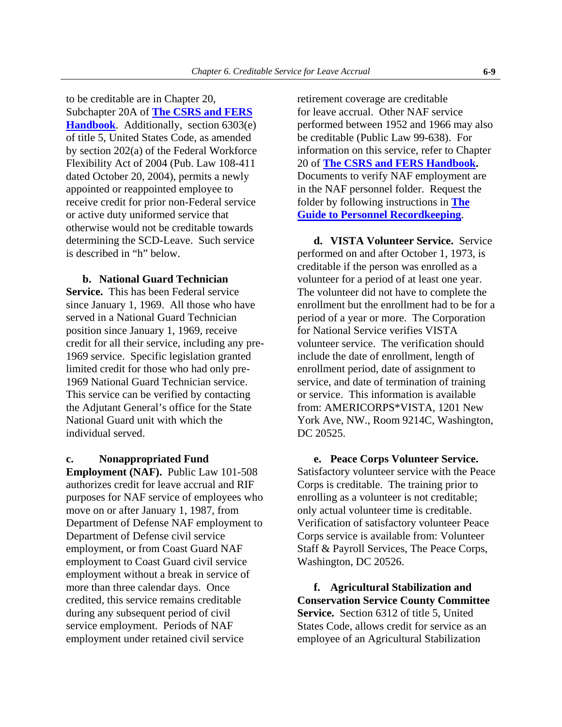to be creditable are in Chapter 20, Subchapter 20A of **[The CSRS and FERS](http://www.opm.gov/retire/pubs/handbook/hod.htm)  [Handbook](http://www.opm.gov/retire/pubs/handbook/hod.htm)**. Additionally, section 6303(e) of title 5, United States Code, as amended by section 202(a) of the Federal Workforce Flexibility Act of 2004 (Pub. Law 108-411 dated October 20, 2004), permits a newly appointed or reappointed employee to receive credit for prior non-Federal service or active duty uniformed service that otherwise would not be creditable towards determining the SCD-Leave. Such service is described in "h" below.

#### **b. National Guard Technician**

**Service.** This has been Federal service since January 1, 1969. All those who have served in a National Guard Technician position since January 1, 1969, receive credit for all their service, including any pre-1969 service. Specific legislation granted limited credit for those who had only pre-1969 National Guard Technician service. This service can be verified by contacting the Adjutant General's office for the State National Guard unit with which the individual served.

#### **c. Nonappropriated Fund**

**Employment (NAF).** Public Law 101-508 authorizes credit for leave accrual and RIF purposes for NAF service of employees who move on or after January 1, 1987, from Department of Defense NAF employment to Department of Defense civil service employment, or from Coast Guard NAF employment to Coast Guard civil service employment without a break in service of more than three calendar days. Once credited, this service remains creditable during any subsequent period of civil service employment. Periods of NAF employment under retained civil service

retirement coverage are creditable for leave accrual. Other NAF service performed between 1952 and 1966 may also be creditable (Public Law 99-638). For information on this service, refer to Chapter 20 of **[The CSRS and FERS Handbook](http://www.opm.gov/retire/pubs/handbook/hod.htm).** Documents to verify NAF employment are in the NAF personnel folder. Request the folder by following instructions in **[The](http://www.opm.gov/feddata/persdoc.asp)  [Guide to Personnel Recordkeeping](http://www.opm.gov/feddata/persdoc.asp)**.

**d. VISTA Volunteer Service.** Service performed on and after October 1, 1973, is creditable if the person was enrolled as a volunteer for a period of at least one year. The volunteer did not have to complete the enrollment but the enrollment had to be for a period of a year or more. The Corporation for National Service verifies VISTA volunteer service. The verification should include the date of enrollment, length of enrollment period, date of assignment to service, and date of termination of training or service. This information is available from: AMERICORPS\*VISTA, 1201 New York Ave, NW., Room 9214C, Washington, DC 20525.

**e. Peace Corps Volunteer Service.**  Satisfactory volunteer service with the Peace Corps is creditable. The training prior to enrolling as a volunteer is not creditable; only actual volunteer time is creditable. Verification of satisfactory volunteer Peace Corps service is available from: Volunteer Staff & Payroll Services, The Peace Corps, Washington, DC 20526.

**f. Agricultural Stabilization and Conservation Service County Committee Service.** Section 6312 of title 5, United States Code, allows credit for service as an employee of an Agricultural Stabilization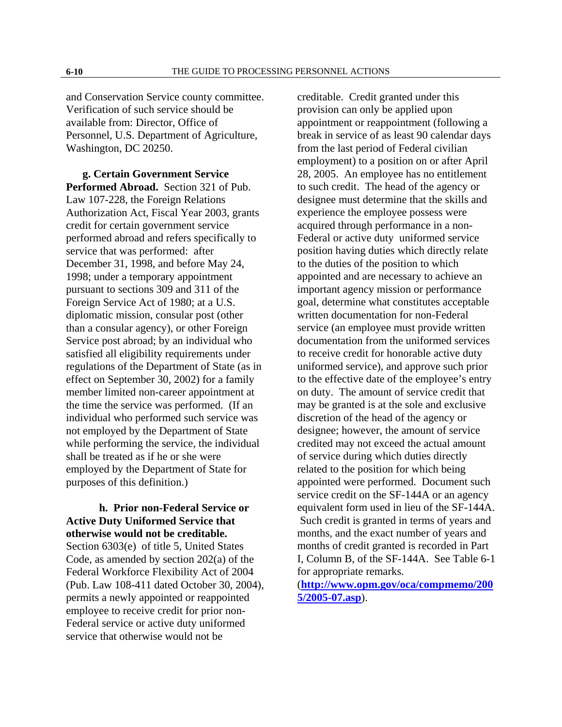and Conservation Service county committee. Verification of such service should be available from: Director, Office of Personnel, U.S. Department of Agriculture, Washington, DC 20250.

**g. Certain Government Service Performed Abroad.** Section 321 of Pub. Law 107-228, the Foreign Relations Authorization Act, Fiscal Year 2003, grants credit for certain government service performed abroad and refers specifically to service that was performed: after December 31, 1998, and before May 24, 1998; under a temporary appointment pursuant to sections 309 and 311 of the Foreign Service Act of 1980; at a U.S. diplomatic mission, consular post (other than a consular agency), or other Foreign Service post abroad; by an individual who satisfied all eligibility requirements under regulations of the Department of State (as in effect on September 30, 2002) for a family member limited non-career appointment at the time the service was performed. (If an individual who performed such service was not employed by the Department of State while performing the service, the individual shall be treated as if he or she were employed by the Department of State for purposes of this definition.)

 **h. Prior non-Federal Service or Active Duty Uniformed Service that otherwise would not be creditable.** Section 6303(e) of title 5, United States Code, as amended by section 202(a) of the Federal Workforce Flexibility Act of 2004 (Pub. Law 108-411 dated October 30, 2004), permits a newly appointed or reappointed employee to receive credit for prior non-Federal service or active duty uniformed service that otherwise would not be

creditable. Credit granted under this provision can only be applied upon appointment or reappointment (following a break in service of as least 90 calendar days from the last period of Federal civilian employment) to a position on or after April 28, 2005. An employee has no entitlement to such credit. The head of the agency or designee must determine that the skills and experience the employee possess were acquired through performance in a non-Federal or active duty uniformed service position having duties which directly relate to the duties of the position to which appointed and are necessary to achieve an important agency mission or performance goal, determine what constitutes acceptable written documentation for non-Federal service (an employee must provide written documentation from the uniformed services to receive credit for honorable active duty uniformed service), and approve such prior to the effective date of the employee's entry on duty. The amount of service credit that may be granted is at the sole and exclusive discretion of the head of the agency or designee; however, the amount of service credited may not exceed the actual amount of service during which duties directly related to the position for which being appointed were performed. Document such service credit on the SF-144A or an agency equivalent form used in lieu of the SF-144A. Such credit is granted in terms of years and months, and the exact number of years and months of credit granted is recorded in Part I, Column B, of the SF-144A. See Table 6-1 for appropriate remarks. (**[http://www.opm.gov/oca/compmemo/200](http://www.opm.gov/oca/compmemo/2005/2005-07.asp)**

**[5/2005-07.asp](http://www.opm.gov/oca/compmemo/2005/2005-07.asp)**).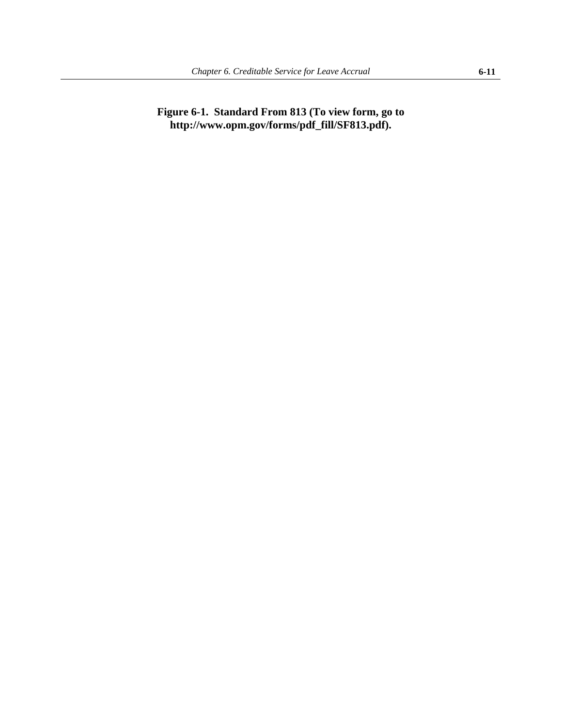## <span id="page-9-0"></span>**Figure 6-1. Standard From 813 (To view form, go to http://www.opm.gov/forms/pdf\_fill/SF813.pdf).**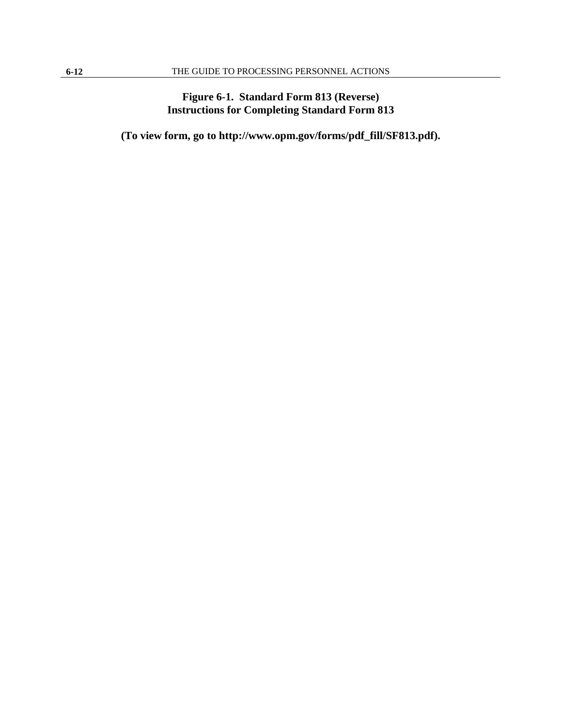## **Figure 6-1. Standard Form 813 (Reverse) Instructions for Completing Standard Form 813**

**(To view form, go to http://www.opm.gov/forms/pdf\_fill/SF813.pdf).**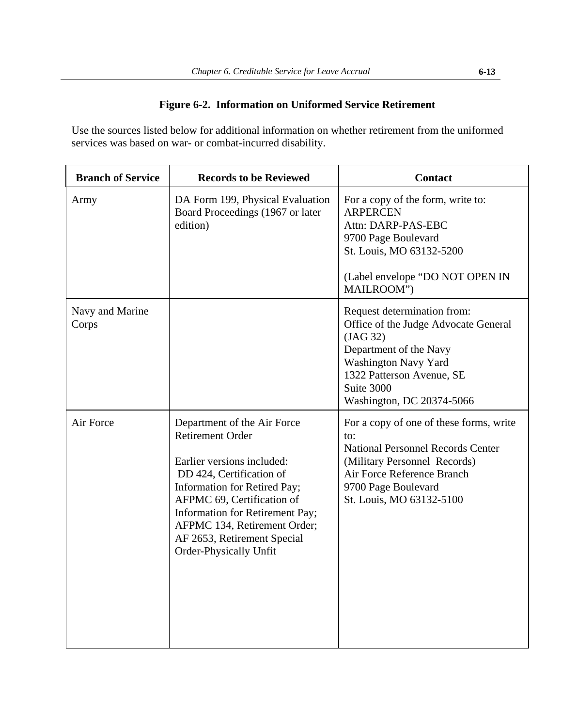## **Figure 6-2. Information on Uniformed Service Retirement**

<span id="page-11-0"></span>Use the sources listed below for additional information on whether retirement from the uniformed services was based on war- or combat-incurred disability.

| <b>Branch of Service</b> | <b>Records to be Reviewed</b>                                                                                                                                                                                                                                                                              | <b>Contact</b>                                                                                                                                                                                              |
|--------------------------|------------------------------------------------------------------------------------------------------------------------------------------------------------------------------------------------------------------------------------------------------------------------------------------------------------|-------------------------------------------------------------------------------------------------------------------------------------------------------------------------------------------------------------|
| Army                     | DA Form 199, Physical Evaluation<br>Board Proceedings (1967 or later<br>edition)                                                                                                                                                                                                                           | For a copy of the form, write to:<br><b>ARPERCEN</b><br>Attn: DARP-PAS-EBC<br>9700 Page Boulevard<br>St. Louis, MO 63132-5200<br>(Label envelope "DO NOT OPEN IN<br>MAILROOM")                              |
| Navy and Marine<br>Corps |                                                                                                                                                                                                                                                                                                            | Request determination from:<br>Office of the Judge Advocate General<br>(JAG 32)<br>Department of the Navy<br>Washington Navy Yard<br>1322 Patterson Avenue, SE<br>Suite 3000<br>Washington, DC 20374-5066   |
| Air Force                | Department of the Air Force<br><b>Retirement Order</b><br>Earlier versions included:<br>DD 424, Certification of<br>Information for Retired Pay;<br>AFPMC 69, Certification of<br>Information for Retirement Pay;<br>AFPMC 134, Retirement Order;<br>AF 2653, Retirement Special<br>Order-Physically Unfit | For a copy of one of these forms, write<br>to:<br><b>National Personnel Records Center</b><br>(Military Personnel Records)<br>Air Force Reference Branch<br>9700 Page Boulevard<br>St. Louis, MO 63132-5100 |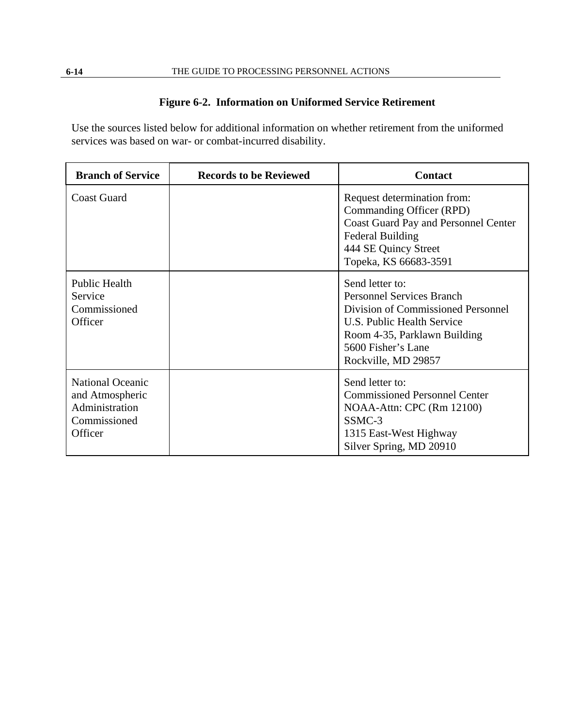## **Figure 6-2. Information on Uniformed Service Retirement**

Use the sources listed below for additional information on whether retirement from the uniformed services was based on war- or combat-incurred disability.

| <b>Branch of Service</b>                                                                | <b>Records to be Reviewed</b> | <b>Contact</b>                                                                                                                                                                                       |
|-----------------------------------------------------------------------------------------|-------------------------------|------------------------------------------------------------------------------------------------------------------------------------------------------------------------------------------------------|
| <b>Coast Guard</b>                                                                      |                               | Request determination from:<br>Commanding Officer (RPD)<br>Coast Guard Pay and Personnel Center<br><b>Federal Building</b><br>444 SE Quincy Street<br>Topeka, KS 66683-3591                          |
| <b>Public Health</b><br>Service<br>Commissioned<br>Officer                              |                               | Send letter to:<br><b>Personnel Services Branch</b><br>Division of Commissioned Personnel<br>U.S. Public Health Service<br>Room 4-35, Parklawn Building<br>5600 Fisher's Lane<br>Rockville, MD 29857 |
| <b>National Oceanic</b><br>and Atmospheric<br>Administration<br>Commissioned<br>Officer |                               | Send letter to:<br><b>Commissioned Personnel Center</b><br>NOAA-Attn: CPC (Rm 12100)<br>SSMC-3<br>1315 East-West Highway<br>Silver Spring, MD 20910                                                  |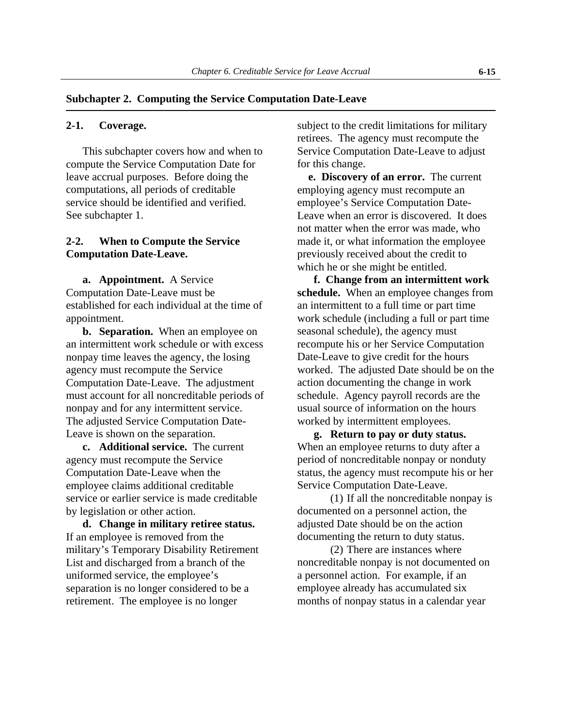#### <span id="page-13-0"></span>**Subchapter 2. Computing the Service Computation Date-Leave**

This subchapter covers how and when to compute the Service Computation Date for leave accrual purposes. Before doing the computations, all periods of creditable service should be identified and verified. See subchapter 1.

#### **2-2. When to Compute the Service Computation Date-Leave.**

**a. Appointment.** A Service Computation Date-Leave must be established for each individual at the time of appointment.

**b. Separation.** When an employee on an intermittent work schedule or with excess nonpay time leaves the agency, the losing agency must recompute the Service Computation Date-Leave. The adjustment must account for all noncreditable periods of nonpay and for any intermittent service. The adjusted Service Computation Date-Leave is shown on the separation. **g. Return to pay or duty status.** 

**c. Additional service.** The current agency must recompute the Service Computation Date-Leave when the employee claims additional creditable service or earlier service is made creditable by legislation or other action.

**d. Change in military retiree status.** If an employee is removed from the military's Temporary Disability Retirement List and discharged from a branch of the uniformed service, the employee's separation is no longer considered to be a retirement. The employee is no longer

**2-1.** Coverage. Subject to the credit limitations for military retirees. The agency must recompute the Service Computation Date-Leave to adjust for this change.

> **e. Discovery of an error.** The current employing agency must recompute an employee's Service Computation Date-Leave when an error is discovered. It does not matter when the error was made, who made it, or what information the employee previously received about the credit to which he or she might be entitled.

**f. Change from an intermittent work schedule.** When an employee changes from an intermittent to a full time or part time work schedule (including a full or part time seasonal schedule), the agency must recompute his or her Service Computation Date-Leave to give credit for the hours worked. The adjusted Date should be on the action documenting the change in work schedule. Agency payroll records are the usual source of information on the hours worked by intermittent employees.

When an employee returns to duty after a period of noncreditable nonpay or nonduty status, the agency must recompute his or her Service Computation Date-Leave.

(1) If all the noncreditable nonpay is documented on a personnel action, the adjusted Date should be on the action documenting the return to duty status.

(2) There are instances where noncreditable nonpay is not documented on a personnel action. For example, if an employee already has accumulated six months of nonpay status in a calendar year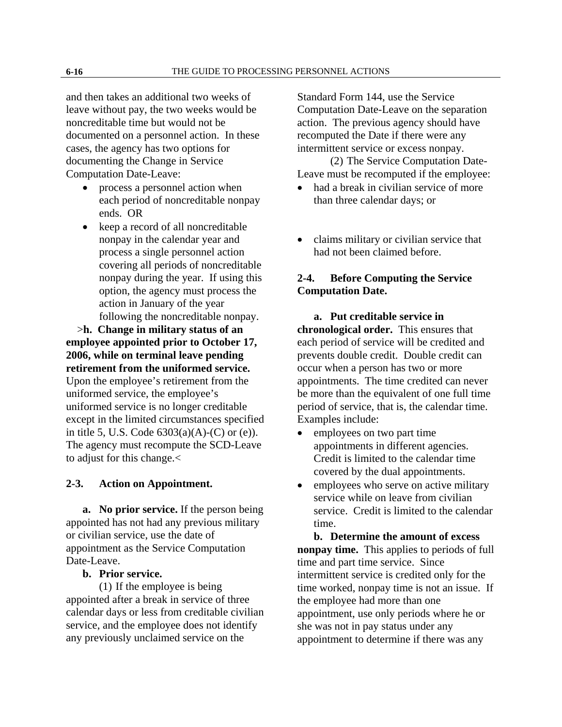<span id="page-14-0"></span>and then takes an additional two weeks of leave without pay, the two weeks would be noncreditable time but would not be documented on a personnel action. In these cases, the agency has two options for documenting the Change in Service Computation Date-Leave:

- process a personnel action when each period of noncreditable nonpay ends. OR
- keep a record of all noncreditable nonpay in the calendar year and process a single personnel action covering all periods of noncreditable nonpay during the year. If using this option, the agency must process the action in January of the year following the noncreditable nonpay.

 >**h. Change in military status of an employee appointed prior to October 17, 2006, while on terminal leave pending retirement from the uniformed service.**  Upon the employee's retirement from the uniformed service, the employee's uniformed service is no longer creditable except in the limited circumstances specified in title 5, U.S. Code  $6303(a)(A)-(C)$  or (e)). The agency must recompute the SCD-Leave to adjust for this change.<

#### **2-3. Action on Appointment.**

**a. No prior service.** If the person being appointed has not had any previous military or civilian service, use the date of appointment as the Service Computation Date-Leave.

#### **b. Prior service.**

(1) If the employee is being appointed after a break in service of three calendar days or less from creditable civilian service, and the employee does not identify any previously unclaimed service on the

Standard Form 144, use the Service Computation Date-Leave on the separation action. The previous agency should have recomputed the Date if there were any intermittent service or excess nonpay.

(2) The Service Computation Date-Leave must be recomputed if the employee:

- had a break in civilian service of more than three calendar days; or
- claims military or civilian service that had not been claimed before.

## **2-4. Before Computing the Service Computation Date.**

**a. Put creditable service in chronological order.** This ensures that each period of service will be credited and prevents double credit. Double credit can occur when a person has two or more appointments. The time credited can never be more than the equivalent of one full time period of service, that is, the calendar time. Examples include:

- employees on two part time appointments in different agencies. Credit is limited to the calendar time covered by the dual appointments.
- employees who serve on active military service while on leave from civilian service. Credit is limited to the calendar time.

**b. Determine the amount of excess nonpay time.** This applies to periods of full time and part time service. Since intermittent service is credited only for the time worked, nonpay time is not an issue. If the employee had more than one appointment, use only periods where he or she was not in pay status under any appointment to determine if there was any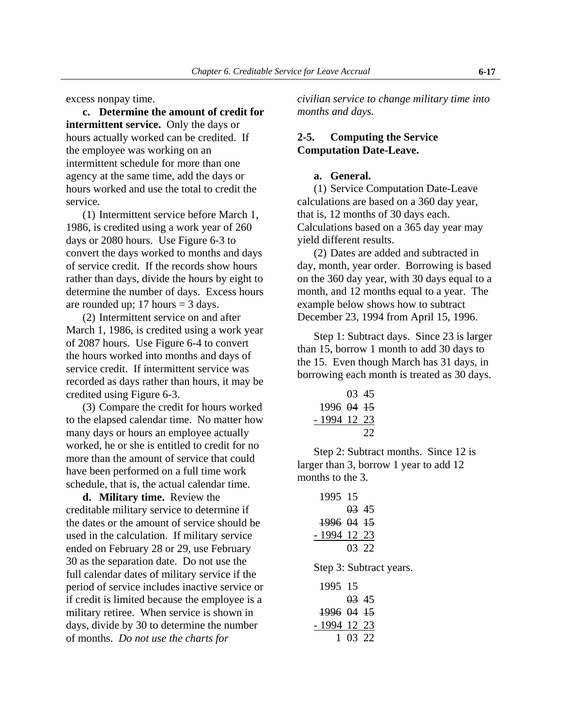<span id="page-15-0"></span>excess nonpay time.

**c. Determine the amount of credit for intermittent service.** Only the days or hours actually worked can be credited. If the employee was working on an intermittent schedule for more than one agency at the same time, add the days or hours worked and use the total to credit the service.

 (1) Intermittent service before March 1, 1986, is credited using a work year of 260 days or 2080 hours. Use Figure 6-3 to convert the days worked to months and days of service credit. If the records show hours rather than days, divide the hours by eight to determine the number of days. Excess hours are rounded up;  $17$  hours  $= 3$  days.

(2) Intermittent service on and after March 1, 1986, is credited using a work year of 2087 hours. Use Figure 6-4 to convert the hours worked into months and days of service credit. If intermittent service was recorded as days rather than hours, it may be credited using Figure 6-3.

(3) Compare the credit for hours worked to the elapsed calendar time. No matter how many days or hours an employee actually worked, he or she is entitled to credit for no more than the amount of service that could have been performed on a full time work schedule, that is, the actual calendar time.

**d. Military time.** Review the creditable military service to determine if the dates or the amount of service should be used in the calculation. If military service ended on February 28 or 29, use February 30 as the separation date. Do not use the full calendar dates of military service if the period of service includes inactive service or if credit is limited because the employee is a military retiree. When service is shown in days, divide by 30 to determine the number of months. *Do not use the charts for* 

*civilian service to change military time into months and days.* 

### **2-5. Computing the Service Computation Date-Leave.**

#### **a. General.**

 (1) Service Computation Date-Leave calculations are based on a 360 day year, that is, 12 months of 30 days each. Calculations based on a 365 day year may yield different results.

(2) Dates are added and subtracted in day, month, year order. Borrowing is based on the 360 day year, with 30 days equal to a month, and 12 months equal to a year. The example below shows how to subtract December 23, 1994 from April 15, 1996.

Step 1: Subtract days. Since 23 is larger than 15, borrow 1 month to add 30 days to the 15. Even though March has 31 days, in borrowing each month is treated as 30 days.

|              | 03.45 |    |
|--------------|-------|----|
| 1996 04 15   |       |    |
| - 1994 12 23 |       |    |
|              |       | 22 |

 Step 2: Subtract months. Since 12 is larger than 3, borrow 1 year to add 12 months to the 3.

| 1995 15                 |
|-------------------------|
| $03\;45$                |
| 1996 04 15              |
| - 1994 12 23            |
| 03 22                   |
| Step 3: Subtract years. |
| 1995 15                 |
| $03\;45$                |
|                         |

|                       | <del>UD</del> 4.1 |  |
|-----------------------|-------------------|--|
| <del>1996</del> 04 15 |                   |  |
| - 1994 12 23          |                   |  |
|                       | 1 03 22           |  |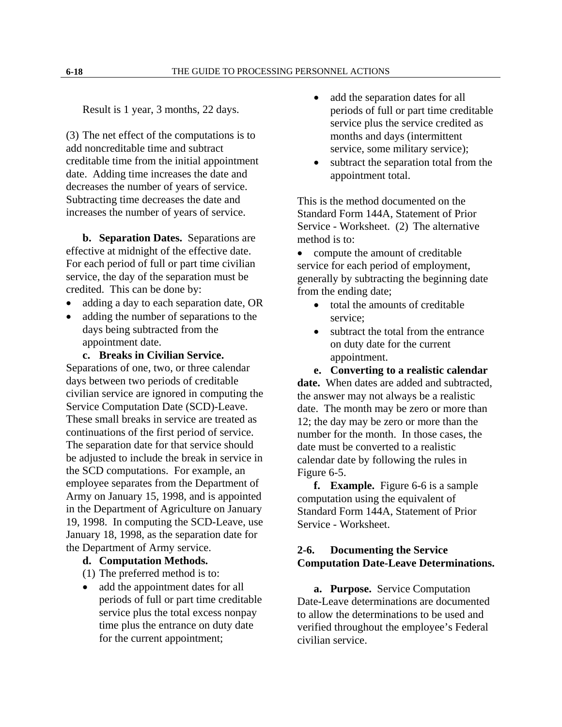<span id="page-16-0"></span>Result is 1 year, 3 months, 22 days.

(3) The net effect of the computations is to add noncreditable time and subtract creditable time from the initial appointment date. Adding time increases the date and decreases the number of years of service. Subtracting time decreases the date and increases the number of years of service.

**b. Separation Dates.** Separations are effective at midnight of the effective date. For each period of full or part time civilian service, the day of the separation must be credited. This can be done by:

- adding a day to each separation date, OR
- adding the number of separations to the days being subtracted from the appointment date.

**c. Breaks in Civilian Service.**

Separations of one, two, or three calendar days between two periods of creditable civilian service are ignored in computing the Service Computation Date (SCD)-Leave. These small breaks in service are treated as continuations of the first period of service. The separation date for that service should be adjusted to include the break in service in the SCD computations. For example, an employee separates from the Department of Army on January 15, 1998, and is appointed in the Department of Agriculture on January 19, 1998. In computing the SCD-Leave, use January 18, 1998, as the separation date for the Department of Army service.

#### **d. Computation Methods.**

(1) The preferred method is to:

• add the appointment dates for all periods of full or part time creditable service plus the total excess nonpay time plus the entrance on duty date for the current appointment;

- add the separation dates for all periods of full or part time creditable service plus the service credited as months and days (intermittent service, some military service);
- subtract the separation total from the appointment total.

This is the method documented on the Standard Form 144A, Statement of Prior Service - Worksheet. (2) The alternative method is to:

• compute the amount of creditable service for each period of employment, generally by subtracting the beginning date from the ending date;

- total the amounts of creditable service;
- subtract the total from the entrance on duty date for the current appointment.

**e. Converting to a realistic calendar date.** When dates are added and subtracted, the answer may not always be a realistic date. The month may be zero or more than 12; the day may be zero or more than the number for the month. In those cases, the date must be converted to a realistic calendar date by following the rules in Figure 6-5.

**f. Example.** Figure 6-6 is a sample computation using the equivalent of Standard Form 144A, Statement of Prior Service - Worksheet.

### **2-6. Documenting the Service Computation Date-Leave Determinations.**

**a. Purpose.** Service Computation Date-Leave determinations are documented to allow the determinations to be used and verified throughout the employee's Federal civilian service.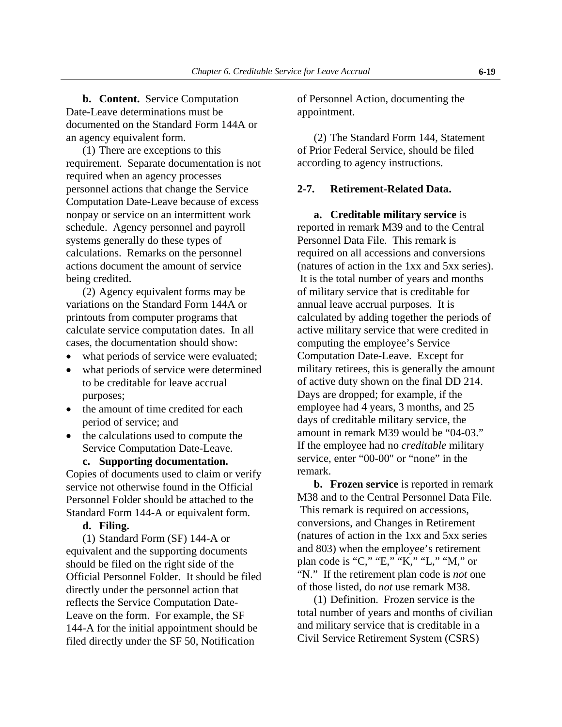<span id="page-17-0"></span>**b. Content.** Service Computation Date-Leave determinations must be documented on the Standard Form 144A or an agency equivalent form.

(1) There are exceptions to this requirement. Separate documentation is not required when an agency processes personnel actions that change the Service Computation Date-Leave because of excess nonpay or service on an intermittent work schedule. Agency personnel and payroll systems generally do these types of calculations. Remarks on the personnel actions document the amount of service being credited.

(2) Agency equivalent forms may be variations on the Standard Form 144A or printouts from computer programs that calculate service computation dates. In all cases, the documentation should show:

- what periods of service were evaluated:
- what periods of service were determined to be creditable for leave accrual purposes;
- the amount of time credited for each period of service; and
- the calculations used to compute the Service Computation Date-Leave.

**c. Supporting documentation.**

Copies of documents used to claim or verify service not otherwise found in the Official Personnel Folder should be attached to the Standard Form 144-A or equivalent form.

**d. Filing.** 

(1) Standard Form (SF) 144-A or equivalent and the supporting documents should be filed on the right side of the Official Personnel Folder. It should be filed directly under the personnel action that reflects the Service Computation Date-Leave on the form. For example, the SF 144-A for the initial appointment should be filed directly under the SF 50, Notification

of Personnel Action, documenting the appointment.

(2) The Standard Form 144, Statement of Prior Federal Service, should be filed according to agency instructions.

#### **2-7. Retirement-Related Data.**

**a. Creditable military service** is reported in remark M39 and to the Central Personnel Data File. This remark is required on all accessions and conversions (natures of action in the 1xx and 5xx series). It is the total number of years and months of military service that is creditable for annual leave accrual purposes. It is calculated by adding together the periods of active military service that were credited in computing the employee's Service Computation Date-Leave. Except for military retirees, this is generally the amount of active duty shown on the final DD 214. Days are dropped; for example, if the employee had 4 years, 3 months, and 25 days of creditable military service, the amount in remark M39 would be "04-03." If the employee had no *creditable* military service, enter "00-00" or "none" in the remark.

**b. Frozen service** is reported in remark M38 and to the Central Personnel Data File. This remark is required on accessions, conversions, and Changes in Retirement (natures of action in the 1xx and 5xx series and 803) when the employee's retirement plan code is "C," "E," "K," "L," "M," or "N." If the retirement plan code is *not* one of those listed, do *not* use remark M38.

(1) Definition. Frozen service is the total number of years and months of civilian and military service that is creditable in a Civil Service Retirement System (CSRS)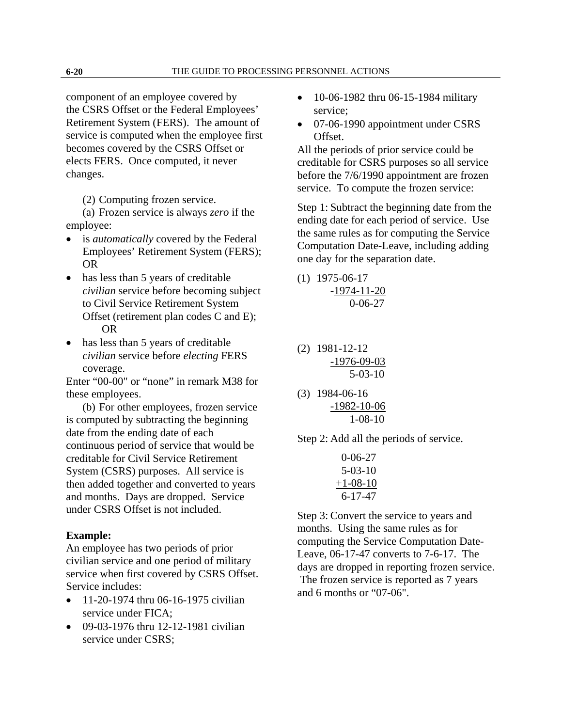component of an employee covered by the CSRS Offset or the Federal Employees' Retirement System (FERS). The amount of service is computed when the employee first becomes covered by the CSRS Offset or elects FERS. Once computed, it never changes.

(2) Computing frozen service.

(a) Frozen service is always *zero* if the employee:

- is *automatically* covered by the Federal Employees' Retirement System (FERS); OR
- has less than 5 years of creditable *civilian* service before becoming subject to Civil Service Retirement System Offset (retirement plan codes C and E); OR
- has less than 5 years of creditable *civilian* service before *electing* FERS coverage.

Enter "00-00" or "none" in remark M38 for these employees.

(b) For other employees, frozen service is computed by subtracting the beginning date from the ending date of each continuous period of service that would be creditable for Civil Service Retirement System (CSRS) purposes. All service is then added together and converted to years and months. Days are dropped. Service under CSRS Offset is not included.

#### **Example:**

An employee has two periods of prior civilian service and one period of military service when first covered by CSRS Offset. Service includes:

- 11-20-1974 thru 06-16-1975 civilian service under FICA;
- 09-03-1976 thru 12-12-1981 civilian service under CSRS;
- 10-06-1982 thru 06-15-1984 military service;
- 07-06-1990 appointment under CSRS Offset.

All the periods of prior service could be creditable for CSRS purposes so all service before the 7/6/1990 appointment are frozen service. To compute the frozen service:

Step 1: Subtract the beginning date from the ending date for each period of service. Use the same rules as for computing the Service Computation Date-Leave, including adding one day for the separation date.

(1) 1975-06-17 -1974-11-20 0-06-27

- (2) 1981-12-12 -1976-09-03 5-03-10
- (3) 1984-06-16 -1982-10-06 1-08-10

Step 2: Add all the periods of service.

| $0 - 06 - 27$  |
|----------------|
| $5 - 03 - 10$  |
| $+1 - 08 - 10$ |
| $6 - 17 - 47$  |

Step 3: Convert the service to years and months. Using the same rules as for computing the Service Computation Date-Leave, 06-17-47 converts to 7-6-17. The days are dropped in reporting frozen service. The frozen service is reported as 7 years and 6 months or "07-06".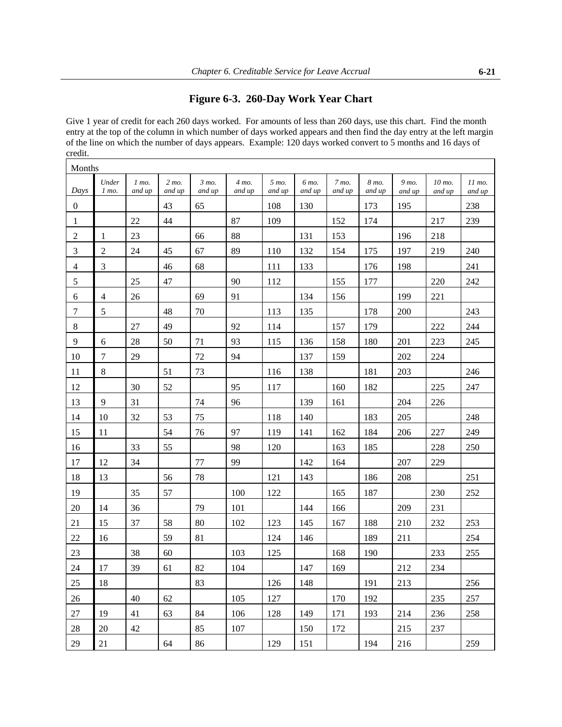## **Figure 6-3. 260-Day Work Year Chart**

<span id="page-19-0"></span>Give 1 year of credit for each 260 days worked. For amounts of less than 260 days, use this chart. Find the month entry at the top of the column in which number of days worked appears and then find the day entry at the left margin of the line on which the number of days appears. Example: 120 days worked convert to 5 months and 16 days of credit.

| Months           |                  |                   |                 |                            |                            |                 |                 |                 |                 |                 |                  |                  |
|------------------|------------------|-------------------|-----------------|----------------------------|----------------------------|-----------------|-----------------|-----------------|-----------------|-----------------|------------------|------------------|
| Days             | Under<br>$1$ mo. | $1$ mo.<br>and up | 2 mo.<br>and up | $3 \text{ mo}$ .<br>and up | $4 \text{ mo}$ .<br>and up | 5 mo.<br>and up | 6 mo.<br>and up | 7 mo.<br>and up | 8 mo.<br>and up | 9 mo.<br>and up | 10 mo.<br>and up | 11 mo.<br>and up |
| $\boldsymbol{0}$ |                  |                   | 43              | 65                         |                            | 108             | 130             |                 | 173             | 195             |                  | 238              |
| $\mathbf{1}$     |                  | 22                | 44              |                            | 87                         | 109             |                 | 152             | 174             |                 | 217              | 239              |
| $\overline{c}$   | $\mathbf{1}$     | 23                |                 | 66                         | 88                         |                 | 131             | 153             |                 | 196             | 218              |                  |
| 3                | $\overline{2}$   | 24                | 45              | 67                         | 89                         | 110             | 132             | 154             | 175             | 197             | 219              | 240              |
| $\overline{4}$   | $\mathfrak{Z}$   |                   | 46              | 68                         |                            | 111             | 133             |                 | 176             | 198             |                  | 241              |
| 5                |                  | 25                | 47              |                            | 90                         | 112             |                 | 155             | 177             |                 | 220              | 242              |
| 6                | $\overline{4}$   | 26                |                 | 69                         | 91                         |                 | 134             | 156             |                 | 199             | 221              |                  |
| $\tau$           | 5                |                   | 48              | $70\,$                     |                            | 113             | 135             |                 | 178             | 200             |                  | 243              |
| 8                |                  | 27                | 49              |                            | 92                         | 114             |                 | 157             | 179             |                 | 222              | 244              |
| 9                | 6                | $28\,$            | 50              | 71                         | 93                         | 115             | 136             | 158             | 180             | 201             | 223              | 245              |
| 10               | $\tau$           | 29                |                 | $72\,$                     | 94                         |                 | 137             | 159             |                 | 202             | 224              |                  |
| 11               | $8\,$            |                   | 51              | 73                         |                            | 116             | 138             |                 | 181             | 203             |                  | 246              |
| 12               |                  | 30                | 52              |                            | 95                         | 117             |                 | 160             | 182             |                 | 225              | 247              |
| 13               | 9                | 31                |                 | 74                         | 96                         |                 | 139             | 161             |                 | 204             | 226              |                  |
| 14               | 10               | 32                | 53              | 75                         |                            | 118             | 140             |                 | 183             | 205             |                  | 248              |
| 15               | 11               |                   | 54              | 76                         | 97                         | 119             | 141             | 162             | 184             | 206             | 227              | 249              |
| 16               |                  | 33                | 55              |                            | 98                         | 120             |                 | 163             | 185             |                 | 228              | 250              |
| 17               | 12               | 34                |                 | 77                         | 99                         |                 | 142             | 164             |                 | 207             | 229              |                  |
| 18               | 13               |                   | 56              | 78                         |                            | 121             | 143             |                 | 186             | 208             |                  | 251              |
| 19               |                  | 35                | 57              |                            | 100                        | 122             |                 | 165             | 187             |                 | 230              | 252              |
| $20\,$           | 14               | 36                |                 | 79                         | 101                        |                 | 144             | 166             |                 | 209             | 231              |                  |
| 21               | 15               | 37                | 58              | 80                         | 102                        | 123             | 145             | 167             | 188             | 210             | 232              | 253              |
| 22               | 16               |                   | 59              | 81                         |                            | 124             | 146             |                 | 189             | 211             |                  | 254              |
| 23               |                  | 38                | 60              |                            | 103                        | 125             |                 | 168             | 190             |                 | 233              | 255              |
| 24               | 17               | 39                | 61              | 82                         | 104                        |                 | 147             | 169             |                 | 212             | 234              |                  |
| 25               | 18               |                   |                 | 83                         |                            | 126             | 148             |                 | 191             | 213             |                  | 256              |
| 26               |                  | 40                | 62              |                            | 105                        | 127             |                 | 170             | 192             |                 | 235              | 257              |
| 27               | 19               | 41                | 63              | 84                         | 106                        | 128             | 149             | 171             | 193             | 214             | 236              | 258              |
| 28               | 20               | 42                |                 | 85                         | 107                        |                 | 150             | 172             |                 | 215             | 237              |                  |
| 29               | 21               |                   | 64              | 86                         |                            | 129             | 151             |                 | 194             | 216             |                  | 259              |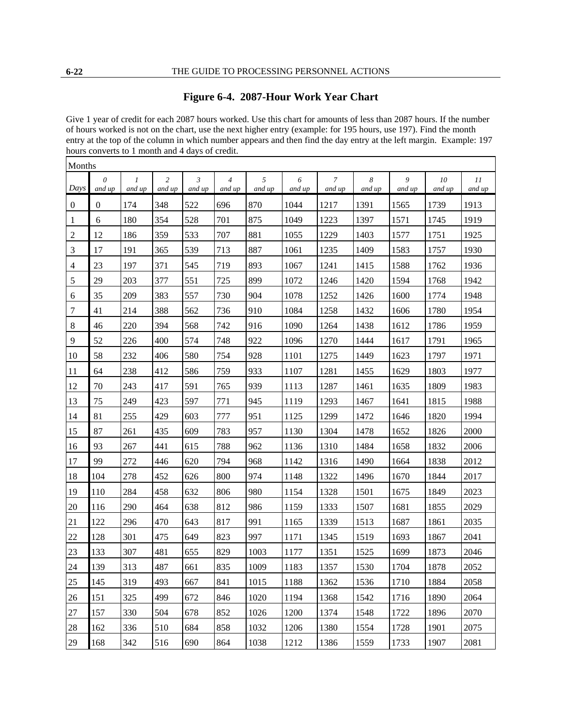## **Figure 6-4. 2087-Hour Work Year Chart**

<span id="page-20-0"></span>Give 1 year of credit for each 2087 hours worked. Use this chart for amounts of less than 2087 hours. If the number of hours worked is not on the chart, use the next higher entry (example: for 195 hours, use 197). Find the month entry at the top of the column in which number appears and then find the day entry at the left margin. Example: 197 hours converts to 1 month and 4 days of credit.

| Months           |                    |                         |                          |                          |                          |             |             |                          |             |             |              |              |
|------------------|--------------------|-------------------------|--------------------------|--------------------------|--------------------------|-------------|-------------|--------------------------|-------------|-------------|--------------|--------------|
| Days             | $\theta$<br>and up | $\mathcal{I}$<br>and up | $\overline{c}$<br>and up | $\mathfrak{Z}$<br>and up | $\overline{4}$<br>and up | 5<br>and up | 6<br>and up | $\overline{7}$<br>and up | 8<br>and up | 9<br>and up | 10<br>and up | 11<br>and up |
| $\boldsymbol{0}$ | $\mathbf{0}$       | 174                     | 348                      | 522                      | 696                      | 870         | 1044        | 1217                     | 1391        | 1565        | 1739         | 1913         |
| 1                | 6                  | 180                     | 354                      | 528                      | 701                      | 875         | 1049        | 1223                     | 1397        | 1571        | 1745         | 1919         |
| $\overline{c}$   | 12                 | 186                     | 359                      | 533                      | 707                      | 881         | 1055        | 1229                     | 1403        | 1577        | 1751         | 1925         |
| 3                | 17                 | 191                     | 365                      | 539                      | 713                      | 887         | 1061        | 1235                     | 1409        | 1583        | 1757         | 1930         |
| 4                | 23                 | 197                     | 371                      | 545                      | 719                      | 893         | 1067        | 1241                     | 1415        | 1588        | 1762         | 1936         |
| 5                | 29                 | 203                     | 377                      | 551                      | 725                      | 899         | 1072        | 1246                     | 1420        | 1594        | 1768         | 1942         |
| 6                | 35                 | 209                     | 383                      | 557                      | 730                      | 904         | 1078        | 1252                     | 1426        | 1600        | 1774         | 1948         |
| 7                | 41                 | 214                     | 388                      | 562                      | 736                      | 910         | 1084        | 1258                     | 1432        | 1606        | 1780         | 1954         |
| 8                | 46                 | 220                     | 394                      | 568                      | 742                      | 916         | 1090        | 1264                     | 1438        | 1612        | 1786         | 1959         |
| 9                | 52                 | 226                     | 400                      | 574                      | 748                      | 922         | 1096        | 1270                     | 1444        | 1617        | 1791         | 1965         |
| 10               | 58                 | 232                     | 406                      | 580                      | 754                      | 928         | 1101        | 1275                     | 1449        | 1623        | 1797         | 1971         |
| 11               | 64                 | 238                     | 412                      | 586                      | 759                      | 933         | 1107        | 1281                     | 1455        | 1629        | 1803         | 1977         |
| 12               | 70                 | 243                     | 417                      | 591                      | 765                      | 939         | 1113        | 1287                     | 1461        | 1635        | 1809         | 1983         |
| 13               | 75                 | 249                     | 423                      | 597                      | 771                      | 945         | 1119        | 1293                     | 1467        | 1641        | 1815         | 1988         |
| 14               | 81                 | 255                     | 429                      | 603                      | 777                      | 951         | 1125        | 1299                     | 1472        | 1646        | 1820         | 1994         |
| 15               | 87                 | 261                     | 435                      | 609                      | 783                      | 957         | 1130        | 1304                     | 1478        | 1652        | 1826         | 2000         |
| 16               | 93                 | 267                     | 441                      | 615                      | 788                      | 962         | 1136        | 1310                     | 1484        | 1658        | 1832         | 2006         |
| 17               | 99                 | 272                     | 446                      | 620                      | 794                      | 968         | 1142        | 1316                     | 1490        | 1664        | 1838         | 2012         |
| 18               | 104                | 278                     | 452                      | 626                      | 800                      | 974         | 1148        | 1322                     | 1496        | 1670        | 1844         | 2017         |
| 19               | 110                | 284                     | 458                      | 632                      | 806                      | 980         | 1154        | 1328                     | 1501        | 1675        | 1849         | 2023         |
| 20               | 116                | 290                     | 464                      | 638                      | 812                      | 986         | 1159        | 1333                     | 1507        | 1681        | 1855         | 2029         |
| 21               | 122                | 296                     | 470                      | 643                      | 817                      | 991         | 1165        | 1339                     | 1513        | 1687        | 1861         | 2035         |
| 22               | 128                | 301                     | 475                      | 649                      | 823                      | 997         | 1171        | 1345                     | 1519        | 1693        | 1867         | 2041         |
| 23               | 133                | 307                     | 481                      | 655                      | 829                      | 1003        | 1177        | 1351                     | 1525        | 1699        | 1873         | 2046         |
| 24               | 139                | 313                     | 487                      | 661                      | 835                      | 1009        | 1183        | 1357                     | 1530        | 1704        | 1878         | 2052         |
| $25\,$           | 145                | 319                     | 493                      | 667                      | 841                      | 1015        | 1188        | 1362                     | 1536        | 1710        | 1884         | 2058         |
| $26\,$           | 151                | 325                     | 499                      | 672                      | 846                      | 1020        | 1194        | 1368                     | 1542        | 1716        | 1890         | 2064         |
| $27\,$           | 157                | 330                     | 504                      | 678                      | 852                      | 1026        | 1200        | 1374                     | 1548        | 1722        | 1896         | 2070         |
| 28               | 162                | 336                     | 510                      | 684                      | 858                      | 1032        | 1206        | 1380                     | 1554        | 1728        | 1901         | 2075         |
| 29               | 168                | 342                     | 516                      | 690                      | 864                      | 1038        | 1212        | 1386                     | 1559        | 1733        | 1907         | 2081         |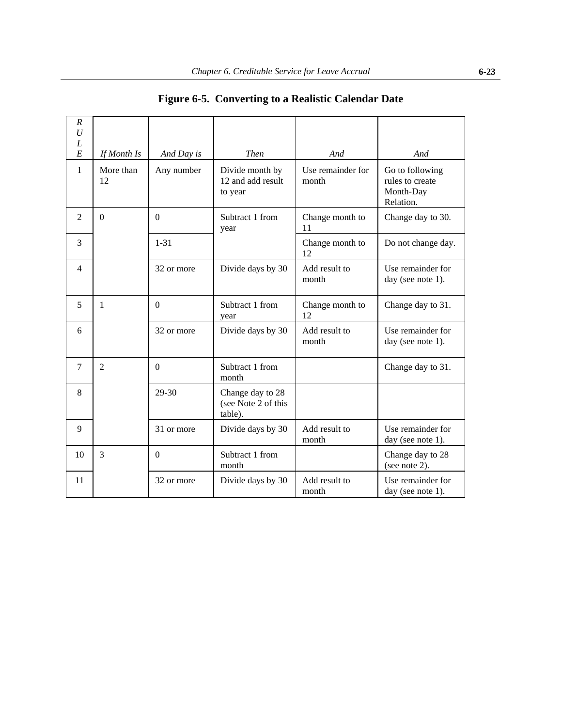<span id="page-21-0"></span>

| $\boldsymbol{R}$<br>U |                 |                |                                                                               |                        |                                                              |
|-----------------------|-----------------|----------------|-------------------------------------------------------------------------------|------------------------|--------------------------------------------------------------|
| L<br>E                | If Month Is     | And Day is     | <b>Then</b>                                                                   | And                    | And                                                          |
| $\mathbf{1}$          | More than<br>12 | Any number     | Use remainder for<br>Divide month by<br>12 and add result<br>month<br>to year |                        | Go to following<br>rules to create<br>Month-Day<br>Relation. |
| $\overline{c}$        | $\Omega$        | $\Omega$       | Subtract 1 from<br>year                                                       | Change month to<br>11  | Change day to 30.                                            |
| $\overline{3}$        |                 | $1 - 31$       |                                                                               | Change month to<br>12  | Do not change day.                                           |
| $\overline{4}$        |                 | 32 or more     | Divide days by 30                                                             | Add result to<br>month | Use remainder for<br>day (see note 1).                       |
| 5                     | $\mathbf{1}$    | $\overline{0}$ | Subtract 1 from<br>year                                                       | Change month to<br>12  | Change day to 31.                                            |
| 6                     |                 | 32 or more     | Divide days by 30                                                             | Add result to<br>month | Use remainder for<br>day (see note 1).                       |
| $\overline{7}$        | $\overline{2}$  | $\Omega$       | Subtract 1 from<br>month                                                      |                        | Change day to 31.                                            |
| 8                     |                 | 29-30          | Change day to 28<br>(see Note 2 of this<br>table).                            |                        |                                                              |
| 9                     |                 | 31 or more     | Divide days by 30                                                             | Add result to<br>month | Use remainder for<br>day (see note 1).                       |
| 10                    | $\overline{3}$  | $\Omega$       | Subtract 1 from<br>month                                                      |                        | Change day to 28<br>(see note 2).                            |
| 11                    |                 | 32 or more     | Divide days by 30                                                             | Add result to<br>month | Use remainder for<br>day (see note 1).                       |

**Figure 6-5. Converting to a Realistic Calendar Date**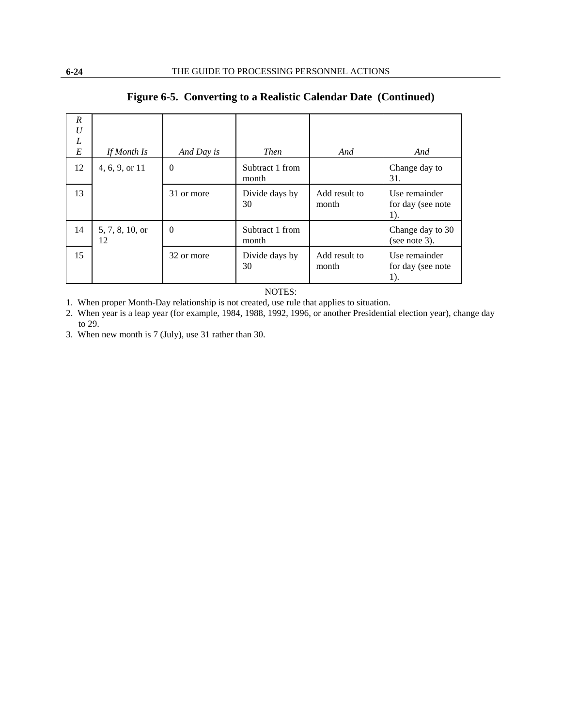| $\boldsymbol{R}$<br>$\boldsymbol{U}$<br>L |                       |            |                          |                        |                                           |
|-------------------------------------------|-----------------------|------------|--------------------------|------------------------|-------------------------------------------|
| E                                         | If Month Is           | And Day is | <b>Then</b>              | And                    | And                                       |
| 12                                        | 4, 6, 9, or 11        | $\Omega$   | Subtract 1 from<br>month |                        | Change day to<br>31.                      |
| 13                                        |                       | 31 or more | Divide days by<br>30     | Add result to<br>month | Use remainder<br>for day (see note<br>1). |
| 14                                        | 5, 7, 8, 10, or<br>12 | $\Omega$   | Subtract 1 from<br>month |                        | Change day to 30<br>(see note 3).         |
| 15                                        |                       | 32 or more | Divide days by<br>30     | Add result to<br>month | Use remainder<br>for day (see note<br>1). |

## **Figure 6-5. Converting to a Realistic Calendar Date (Continued)**

NOTES:

1. When proper Month-Day relationship is not created, use rule that applies to situation.

2. When year is a leap year (for example, 1984, 1988, 1992, 1996, or another Presidential election year), change day to 29.

3. When new month is 7 (July), use 31 rather than 30.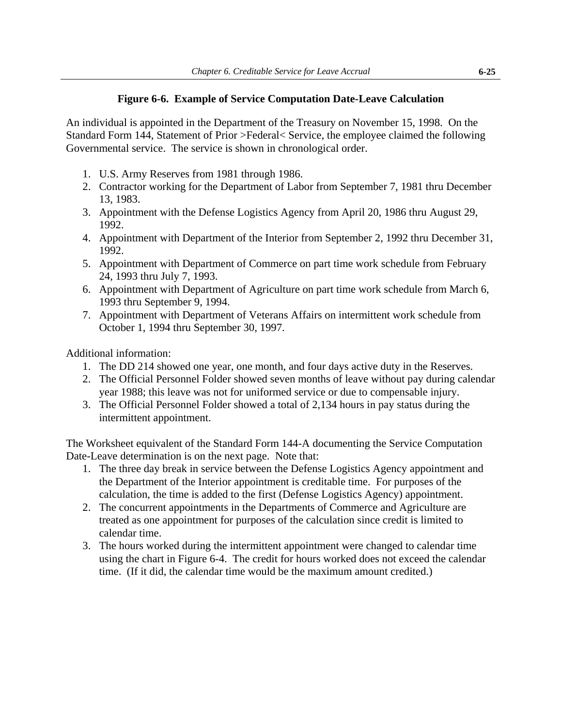## **Figure 6-6. Example of Service Computation Date-Leave Calculation**

<span id="page-23-0"></span>An individual is appointed in the Department of the Treasury on November 15, 1998. On the Standard Form 144, Statement of Prior >Federal< Service, the employee claimed the following Governmental service. The service is shown in chronological order.

- 1. U.S. Army Reserves from 1981 through 1986.
- 2. Contractor working for the Department of Labor from September 7, 1981 thru December 13, 1983.
- 3. Appointment with the Defense Logistics Agency from April 20, 1986 thru August 29, 1992.
- 4. Appointment with Department of the Interior from September 2, 1992 thru December 31, 1992.
- 5. Appointment with Department of Commerce on part time work schedule from February 24, 1993 thru July 7, 1993.
- 6. Appointment with Department of Agriculture on part time work schedule from March 6, 1993 thru September 9, 1994.
- 7. Appointment with Department of Veterans Affairs on intermittent work schedule from October 1, 1994 thru September 30, 1997.

Additional information:

- 1. The DD 214 showed one year, one month, and four days active duty in the Reserves.
- 2. The Official Personnel Folder showed seven months of leave without pay during calendar year 1988; this leave was not for uniformed service or due to compensable injury.
- 3. The Official Personnel Folder showed a total of 2,134 hours in pay status during the intermittent appointment.

The Worksheet equivalent of the Standard Form 144-A documenting the Service Computation Date-Leave determination is on the next page. Note that:

- 1. The three day break in service between the Defense Logistics Agency appointment and the Department of the Interior appointment is creditable time. For purposes of the calculation, the time is added to the first (Defense Logistics Agency) appointment.
- 2. The concurrent appointments in the Departments of Commerce and Agriculture are treated as one appointment for purposes of the calculation since credit is limited to calendar time.
- 3. The hours worked during the intermittent appointment were changed to calendar time using the chart in Figure 6-4. The credit for hours worked does not exceed the calendar time. (If it did, the calendar time would be the maximum amount credited.)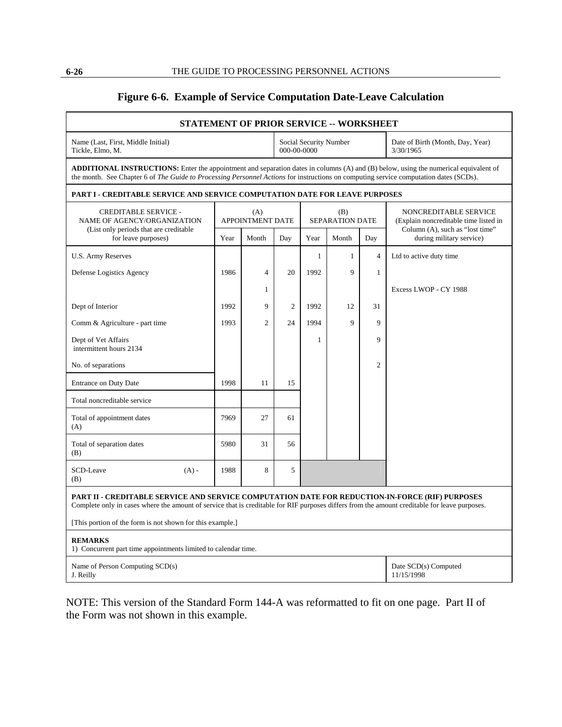## **Figure 6-6. Example of Service Computation Date-Leave Calculation**

| STATEMENT OF PRIOR SERVICE -- WORKSHEET                                                                                                                                                                                                                                             |      |                                       |                |                        |              |                                               |                                                                |  |  |
|-------------------------------------------------------------------------------------------------------------------------------------------------------------------------------------------------------------------------------------------------------------------------------------|------|---------------------------------------|----------------|------------------------|--------------|-----------------------------------------------|----------------------------------------------------------------|--|--|
| Name (Last, First, Middle Initial)<br>Tickle, Elmo, M.                                                                                                                                                                                                                              |      | Social Security Number<br>000-00-0000 |                |                        |              | Date of Birth (Month, Day, Year)<br>3/30/1965 |                                                                |  |  |
| <b>ADDITIONAL INSTRUCTIONS:</b> Enter the appointment and separation dates in columns (A) and (B) below, using the numerical equivalent of<br>the month. See Chapter 6 of The Guide to Processing Personnel Actions for instructions on computing service computation dates (SCDs). |      |                                       |                |                        |              |                                               |                                                                |  |  |
| PART I - CREDITABLE SERVICE AND SERVICE COMPUTATION DATE FOR LEAVE PURPOSES                                                                                                                                                                                                         |      |                                       |                |                        |              |                                               |                                                                |  |  |
| <b>CREDITABLE SERVICE -</b><br>NAME OF AGENCY/ORGANIZATION                                                                                                                                                                                                                          |      | (A)<br><b>APPOINTMENT DATE</b>        |                | (B)<br>SEPARATION DATE |              |                                               | NONCREDITABLE SERVICE<br>(Explain noncreditable time listed in |  |  |
| (List only periods that are creditable)<br>for leave purposes)                                                                                                                                                                                                                      | Year | Month                                 | Day            | Year                   | Month        | Day                                           | Column (A), such as "lost time"<br>during military service)    |  |  |
| <b>U.S. Army Reserves</b>                                                                                                                                                                                                                                                           |      |                                       |                | $\mathbf{1}$           | $\mathbf{1}$ | $\overline{4}$                                | Ltd to active duty time                                        |  |  |
| Defense Logistics Agency                                                                                                                                                                                                                                                            | 1986 | $\overline{4}$                        | 20             | 1992                   | 9            | $\mathbf{1}$                                  |                                                                |  |  |
|                                                                                                                                                                                                                                                                                     |      | $\mathbf{1}$                          |                |                        |              |                                               | Excess LWOP - CY 1988                                          |  |  |
| Dept of Interior                                                                                                                                                                                                                                                                    | 1992 | $\mathbf Q$                           | $\overline{c}$ | 1992                   | 12           | 31                                            |                                                                |  |  |
| Comm & Agriculture - part time                                                                                                                                                                                                                                                      | 1993 | $\overline{c}$                        | 24             | 1994                   | 9            | 9                                             |                                                                |  |  |
| Dept of Vet Affairs<br>intermittent hours 2134                                                                                                                                                                                                                                      |      |                                       |                | 1                      |              | 9                                             |                                                                |  |  |
| No. of separations                                                                                                                                                                                                                                                                  |      |                                       |                |                        |              | $\overline{c}$                                |                                                                |  |  |
| <b>Entrance on Duty Date</b>                                                                                                                                                                                                                                                        | 1998 | 11                                    | 15             |                        |              |                                               |                                                                |  |  |
| Total noncreditable service                                                                                                                                                                                                                                                         |      |                                       |                |                        |              |                                               |                                                                |  |  |
| Total of appointment dates<br>(A)                                                                                                                                                                                                                                                   | 7969 | 27                                    | 61             |                        |              |                                               |                                                                |  |  |
| Total of separation dates<br>(B)                                                                                                                                                                                                                                                    | 5980 | 31                                    | 56             |                        |              |                                               |                                                                |  |  |
| <b>SCD-Leave</b><br>$(A)$ -<br>(B)                                                                                                                                                                                                                                                  | 1988 | 8                                     | 5              |                        |              |                                               |                                                                |  |  |
| PART II - CREDITABLE SERVICE AND SERVICE COMPUTATION DATE FOR REDUCTION-IN-FORCE (RIF) PURPOSES<br>Complete only in cases where the amount of service that is creditable for RIF purposes differs from the amount creditable for leave purposes.                                    |      |                                       |                |                        |              |                                               |                                                                |  |  |
| [This portion of the form is not shown for this example.]                                                                                                                                                                                                                           |      |                                       |                |                        |              |                                               |                                                                |  |  |
| <b>REMARKS</b><br>1) Concurrent part time appointments limited to calendar time.                                                                                                                                                                                                    |      |                                       |                |                        |              |                                               |                                                                |  |  |
| Name of Person Computing SCD(s)<br>J. Reilly                                                                                                                                                                                                                                        |      |                                       |                |                        |              |                                               | Date SCD(s) Computed<br>11/15/1998                             |  |  |

NOTE: This version of the Standard Form 144-A was reformatted to fit on one page. Part II of the Form was not shown in this example.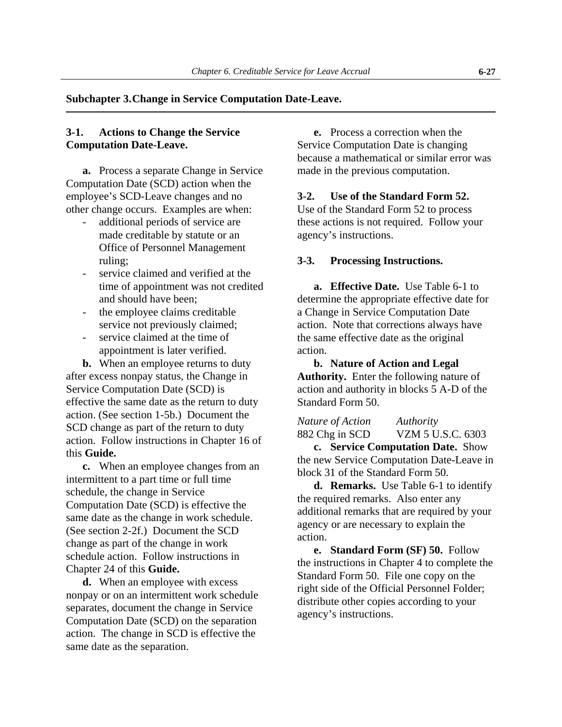#### <span id="page-25-0"></span>**Subchapter 3. Change in Service Computation Date-Leave.**

#### **3-1. Actions to Change the Service Computation Date-Leave.**

**a.** Process a separate Change in Service Computation Date (SCD) action when the employee's SCD-Leave changes and no other change occurs. Examples are when:

- additional periods of service are made creditable by statute or an Office of Personnel Management ruling;
- service claimed and verified at the time of appointment was not credited and should have been;
- the employee claims creditable service not previously claimed;
- service claimed at the time of appointment is later verified.

**b.** When an employee returns to duty after excess nonpay status, the Change in Service Computation Date (SCD) is effective the same date as the return to duty action. (See section 1-5b.) Document the SCD change as part of the return to duty action. Follow instructions in Chapter 16 of this **Guide.**

**c.** When an employee changes from an intermittent to a part time or full time schedule, the change in Service Computation Date (SCD) is effective the same date as the change in work schedule. (See section 2-2f.) Document the SCD change as part of the change in work schedule action. Follow instructions in Chapter 24 of this **Guide.**

**d.** When an employee with excess nonpay or on an intermittent work schedule separates, document the change in Service Computation Date (SCD) on the separation action. The change in SCD is effective the same date as the separation.

**e.** Process a correction when the Service Computation Date is changing because a mathematical or similar error was made in the previous computation.

#### **3-2. Use of the Standard Form 52.**

Use of the Standard Form 52 to process these actions is not required. Follow your agency's instructions.

#### **3-3. Processing Instructions.**

**a. Effective Date.** Use Table 6-1 to determine the appropriate effective date for a Change in Service Computation Date action. Note that corrections always have the same effective date as the original action.

**b. Nature of Action and Legal Authority.** Enter the following nature of action and authority in blocks 5 A-D of the Standard Form 50.

*Nature of Action Authority* 882 Chg in SCD VZM 5 U.S.C. 6303 **c. Service Computation Date.** Show

the new Service Computation Date-Leave in block 31 of the Standard Form 50.

**d. Remarks.** Use Table 6-1 to identify the required remarks. Also enter any additional remarks that are required by your agency or are necessary to explain the action.

**e. Standard Form (SF) 50.** Follow the instructions in Chapter 4 to complete the Standard Form 50. File one copy on the right side of the Official Personnel Folder; distribute other copies according to your agency's instructions.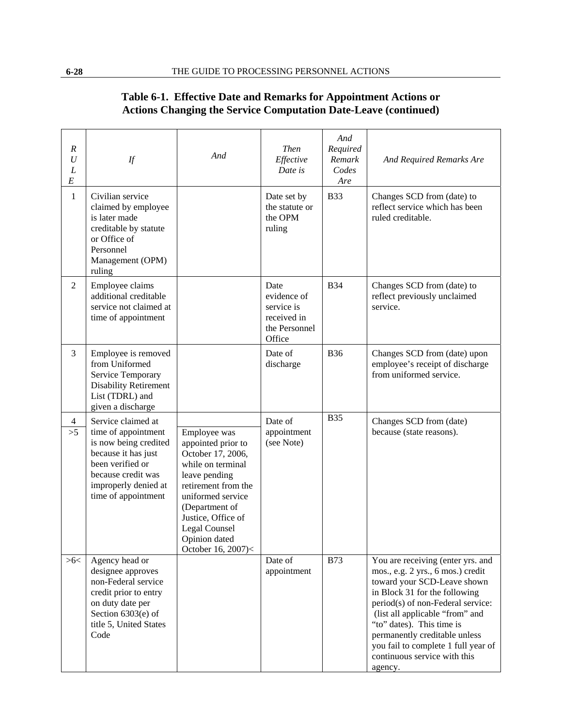| Table 6-1. Effective Date and Remarks for Appointment Actions or       |  |
|------------------------------------------------------------------------|--|
| <b>Actions Changing the Service Computation Date-Leave (continued)</b> |  |

<span id="page-26-0"></span>

| $\boldsymbol{R}$<br>$\boldsymbol{U}$<br>L<br>$\cal E$ | If                                                                                                                                                                                 | And                                                                                                                                                                                                                                       | <b>Then</b><br>Effective<br>Date is                                         | And<br>Required<br>Remark<br>Codes<br>Are | And Required Remarks Are                                                                                                                                                                                                                                                                                                                                       |
|-------------------------------------------------------|------------------------------------------------------------------------------------------------------------------------------------------------------------------------------------|-------------------------------------------------------------------------------------------------------------------------------------------------------------------------------------------------------------------------------------------|-----------------------------------------------------------------------------|-------------------------------------------|----------------------------------------------------------------------------------------------------------------------------------------------------------------------------------------------------------------------------------------------------------------------------------------------------------------------------------------------------------------|
| $\mathbf{1}$                                          | Civilian service<br>claimed by employee<br>is later made<br>creditable by statute<br>or Office of<br>Personnel<br>Management (OPM)<br>ruling                                       |                                                                                                                                                                                                                                           | Date set by<br>the statute or<br>the OPM<br>ruling                          | <b>B33</b>                                | Changes SCD from (date) to<br>reflect service which has been<br>ruled creditable.                                                                                                                                                                                                                                                                              |
| $\overline{2}$                                        | Employee claims<br>additional creditable<br>service not claimed at<br>time of appointment                                                                                          |                                                                                                                                                                                                                                           | Date<br>evidence of<br>service is<br>received in<br>the Personnel<br>Office | <b>B</b> 34                               | Changes SCD from (date) to<br>reflect previously unclaimed<br>service.                                                                                                                                                                                                                                                                                         |
| $\overline{3}$                                        | Employee is removed<br>from Uniformed<br>Service Temporary<br><b>Disability Retirement</b><br>List (TDRL) and<br>given a discharge                                                 |                                                                                                                                                                                                                                           | Date of<br>discharge                                                        | <b>B36</b>                                | Changes SCD from (date) upon<br>employee's receipt of discharge<br>from uniformed service.                                                                                                                                                                                                                                                                     |
| $\overline{4}$<br>>5                                  | Service claimed at<br>time of appointment<br>is now being credited<br>because it has just<br>been verified or<br>because credit was<br>improperly denied at<br>time of appointment | Employee was<br>appointed prior to<br>October 17, 2006,<br>while on terminal<br>leave pending<br>retirement from the<br>uniformed service<br>(Department of<br>Justice, Office of<br>Legal Counsel<br>Opinion dated<br>October 16, 2007)< | Date of<br>appointment<br>(see Note)                                        | <b>B</b> 35                               | Changes SCD from (date)<br>because (state reasons).                                                                                                                                                                                                                                                                                                            |
| >6<                                                   | Agency head or<br>designee approves<br>non-Federal service<br>credit prior to entry<br>on duty date per<br>Section $6303(e)$ of<br>title 5, United States<br>Code                  |                                                                                                                                                                                                                                           | Date of<br>appointment                                                      | <b>B73</b>                                | You are receiving (enter yrs. and<br>mos., e.g. 2 yrs., 6 mos.) credit<br>toward your SCD-Leave shown<br>in Block 31 for the following<br>period(s) of non-Federal service:<br>(list all applicable "from" and<br>"to" dates). This time is<br>permanently creditable unless<br>you fail to complete 1 full year of<br>continuous service with this<br>agency. |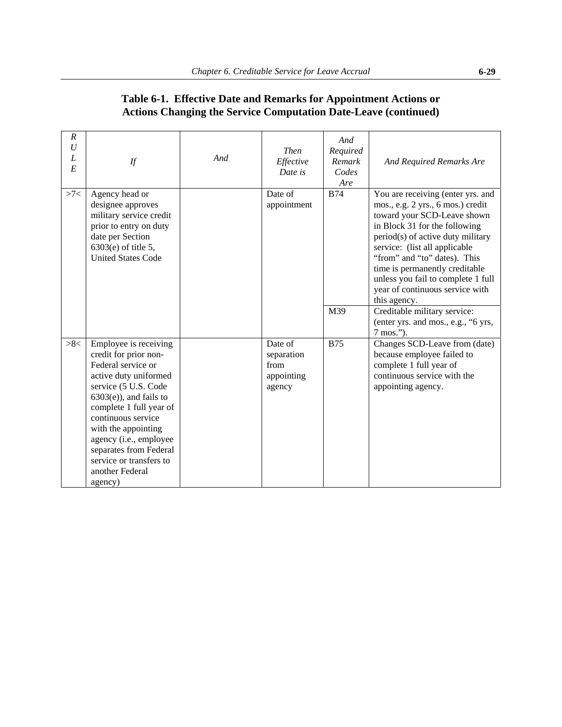| $\boldsymbol{R}$<br>$\boldsymbol{U}$<br>L<br>E | If                                                                                                                                                                                                                                                                                                                                     | And | <b>Then</b><br>Effective<br>Date is                   | And<br>Required<br>Remark<br>Codes<br>Are | And Required Remarks Are                                                                                                                                                                                                                                                                                                                                                |
|------------------------------------------------|----------------------------------------------------------------------------------------------------------------------------------------------------------------------------------------------------------------------------------------------------------------------------------------------------------------------------------------|-----|-------------------------------------------------------|-------------------------------------------|-------------------------------------------------------------------------------------------------------------------------------------------------------------------------------------------------------------------------------------------------------------------------------------------------------------------------------------------------------------------------|
| >7                                             | Agency head or<br>designee approves<br>military service credit<br>prior to entry on duty<br>date per Section<br>$6303(e)$ of title 5,<br><b>United States Code</b>                                                                                                                                                                     |     | Date of<br>appointment                                | <b>B74</b>                                | You are receiving (enter yrs. and<br>mos., e.g. 2 yrs., 6 mos.) credit<br>toward your SCD-Leave shown<br>in Block 31 for the following<br>period(s) of active duty military<br>service: (list all applicable<br>"from" and "to" dates). This<br>time is permanently creditable<br>unless you fail to complete 1 full<br>year of continuous service with<br>this agency. |
|                                                |                                                                                                                                                                                                                                                                                                                                        |     |                                                       | M39                                       | Creditable military service:<br>(enter yrs. and mos., e.g., "6 yrs,<br>7 mos.").                                                                                                                                                                                                                                                                                        |
| >8<                                            | Employee is receiving<br>credit for prior non-<br>Federal service or<br>active duty uniformed<br>service (5 U.S. Code<br>$6303(e)$ , and fails to<br>complete 1 full year of<br>continuous service<br>with the appointing<br>agency (i.e., employee<br>separates from Federal<br>service or transfers to<br>another Federal<br>agency) |     | Date of<br>separation<br>from<br>appointing<br>agency | <b>B75</b>                                | Changes SCD-Leave from (date)<br>because employee failed to<br>complete 1 full year of<br>continuous service with the<br>appointing agency.                                                                                                                                                                                                                             |

## **Table 6-1. Effective Date and Remarks for Appointment Actions or Actions Changing the Service Computation Date-Leave (continued)**